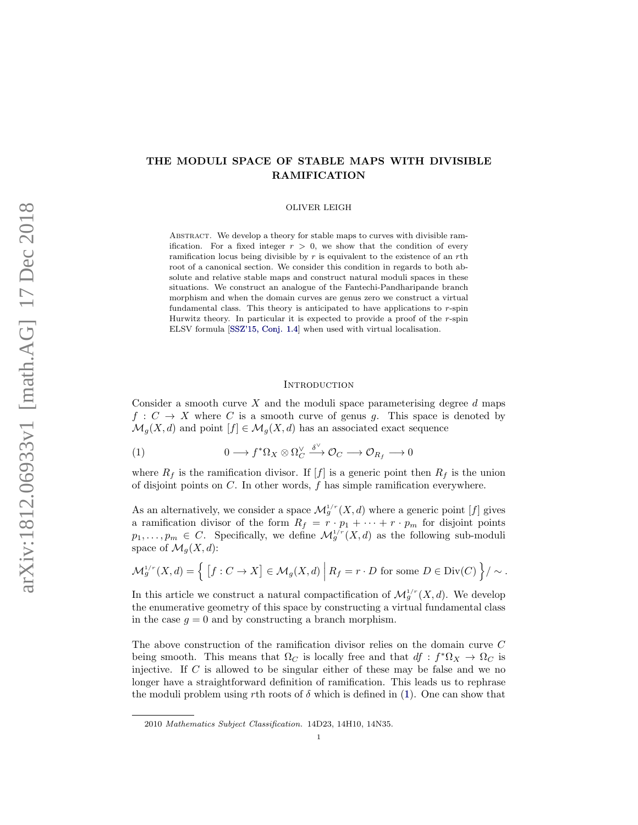# THE MODULI SPACE OF STABLE MAPS WITH DIVISIBLE RAMIFICATION

### OLIVER LEIGH

ABSTRACT. We develop a theory for stable maps to curves with divisible ramification. For a fixed integer  $r > 0$ , we show that the condition of every ramification locus being divisible by  $r$  is equivalent to the existence of an rth root of a canonical section. We consider this condition in regards to both absolute and relative stable maps and construct natural moduli spaces in these situations. We construct an analogue of the Fantechi-Pandharipande branch morphism and when the domain curves are genus zero we construct a virtual fundamental class. This theory is anticipated to have applications to  $r$ -spin Hurwitz theory. In particular it is expected to provide a proof of the  $r$ -spin ELSV formula [\[SSZ'15, Conj. 1.4\]](#page-27-0) when used with virtual localisation.

### **INTRODUCTION**

Consider a smooth curve X and the moduli space parameterising degree  $d$  maps  $f: C \to X$  where C is a smooth curve of genus g. This space is denoted by  $\mathcal{M}_q(X, d)$  and point  $[f] \in \mathcal{M}_q(X, d)$  has an associated exact sequence

<span id="page-0-0"></span>(1) 
$$
0 \longrightarrow f^* \Omega_X \otimes \Omega_C^{\vee} \xrightarrow{\delta^{\vee}} \mathcal{O}_C \longrightarrow \mathcal{O}_{R_f} \longrightarrow 0
$$

where  $R_f$  is the ramification divisor. If  $[f]$  is a generic point then  $R_f$  is the union of disjoint points on  $C$ . In other words,  $f$  has simple ramification everywhere.

As an alternatively, we consider a space  $\mathcal{M}_g^{1/r}(X,d)$  where a generic point [f] gives a ramification divisor of the form  $R_f = r \cdot p_1 + \cdots + r \cdot p_m$  for disjoint points  $p_1, \ldots, p_m \in C$ . Specifically, we define  $\mathcal{M}_g^{1/r}(X, d)$  as the following sub-moduli space of  $\mathcal{M}_q(X, d)$ :

$$
\mathcal{M}_g^{1/r}(X,d) = \left\{ \left[ f: C \to X \right] \in \mathcal{M}_g(X,d) \middle| R_f = r \cdot D \text{ for some } D \in \text{Div}(C) \right\} / \sim.
$$

In this article we construct a natural compactification of  $\mathcal{M}_g^{1/r}(X, d)$ . We develop the enumerative geometry of this space by constructing a virtual fundamental class in the case  $g = 0$  and by constructing a branch morphism.

The above construction of the ramification divisor relies on the domain curve C being smooth. This means that  $\Omega_C$  is locally free and that  $df : f^* \Omega_X \to \Omega_C$  is injective. If  $C$  is allowed to be singular either of these may be false and we no longer have a straightforward definition of ramification. This leads us to rephrase the moduli problem using rth roots of  $\delta$  which is defined in [\(1\)](#page-0-0). One can show that

<sup>2010</sup> Mathematics Subject Classification. 14D23, 14H10, 14N35.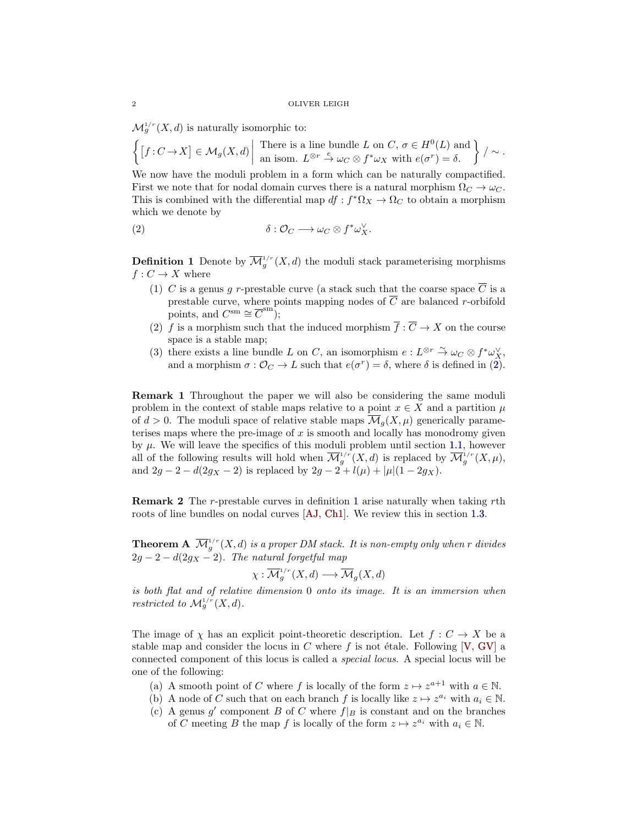$\mathcal{M}_g^{1/r}(X,d)$  is naturally isomorphic to:

$$
\left\{ [f: C \to X] \in \mathcal{M}_g(X, d) \middle| \begin{array}{c} \text{There is a line bundle } L \text{ on } C, \sigma \in H^0(L) \text{ and} \\ \text{an isom. } L^{\otimes r} \stackrel{e}{\to} \omega_C \otimes f^* \omega_X \text{ with } e(\sigma^r) = \delta. \end{array} \right\} / \sim.
$$

We now have the moduli problem in a form which can be naturally compactified. First we note that for nodal domain curves there is a natural morphism  $\Omega_C \to \omega_C$ . This is combined with the differential map  $df : f^* \Omega_X \to \Omega_C$  to obtain a morphism which we denote by

<span id="page-1-0"></span>(2) 
$$
\delta: \mathcal{O}_C \longrightarrow \omega_C \otimes f^* \omega_X^{\vee}.
$$

<span id="page-1-1"></span>**Definition 1** Denote by  $\overline{\mathcal{M}}_g^{1/r}(X, d)$  the moduli stack parameterising morphisms  $f: C \to X$  where

- (1) C is a genus q r-prestable curve (a stack such that the coarse space  $\overline{C}$  is a prestable curve, where points mapping nodes of  $\overline{C}$  are balanced r-orbifold points, and  $C^{\text{sm}} \cong \overline{C}^{\text{sm}}$ ;
- (2) f is a morphism such that the induced morphism  $\overline{f} : \overline{C} \to X$  on the course space is a stable map;
- (3) there exists a line bundle L on C, an isomorphism  $e: L^{\otimes r} \stackrel{\sim}{\to} \omega_C \otimes f^* \omega_X^{\vee}$ , and a morphism  $\sigma : \mathcal{O}_C \to L$  such that  $e(\sigma^r) = \delta$ , where  $\delta$  is defined in [\(2\)](#page-1-0).

<span id="page-1-3"></span>Remark 1 Throughout the paper we will also be considering the same moduli problem in the context of stable maps relative to a point  $x \in X$  and a partition  $\mu$ of  $d > 0$ . The moduli space of relative stable maps  $\mathcal{M}_q(X, \mu)$  generically parameterises maps where the pre-image of  $x$  is smooth and locally has monodromy given by  $\mu$ . We will leave the specifics of this moduli problem until section [1.1,](#page-4-0) however all of the following results will hold when  $\overline{\mathcal{M}}_g^{1/r}(X, d)$  is replaced by  $\overline{\mathcal{M}}_g^{1/r}(X, \mu)$ , and  $2g - 2 - d(2g_X - 2)$  is replaced by  $2g - 2 + l(\mu) + |\mu|(1 - 2g_X)$ .

Remark 2 The r-prestable curves in definition [1](#page-1-1) arise naturally when taking rth roots of line bundles on nodal curves [\[AJ,](#page-27-1) [Ch1\]](#page-27-2). We review this in section [1.3.](#page-8-0)

<span id="page-1-2"></span>**Theorem A**  $\overline{\mathcal{M}}_g^{1/r}(X,d)$  is a proper DM stack. It is non-empty only when r divides  $2g - 2 - d(2g<sub>X</sub> - 2)$ . The natural forgetful map

$$
\chi: \overline{\mathcal{M}}_g^{1/r}(X,d) \longrightarrow \overline{\mathcal{M}}_g(X,d)
$$

is both flat and of relative dimension 0 onto its image. It is an immersion when restricted to  $\mathcal{M}_g^{1/r}(X,d)$ .

The image of  $\chi$  has an explicit point-theoretic description. Let  $f: C \to X$  be a stable map and consider the locus in C where f is not étale. Following  $[V, GV]$  $[V, GV]$  $[V, GV]$  a connected component of this locus is called a special locus. A special locus will be one of the following:

- (a) A smooth point of C where f is locally of the form  $z \mapsto z^{a+1}$  with  $a \in \mathbb{N}$ .
- (b) A node of C such that on each branch f is locally like  $z \mapsto z^{a_i}$  with  $a_i \in \mathbb{N}$ .
- (c) A genus  $g'$  component B of C where  $f|_B$  is constant and on the branches of C meeting B the map f is locally of the form  $z \mapsto z^{a_i}$  with  $a_i \in \mathbb{N}$ .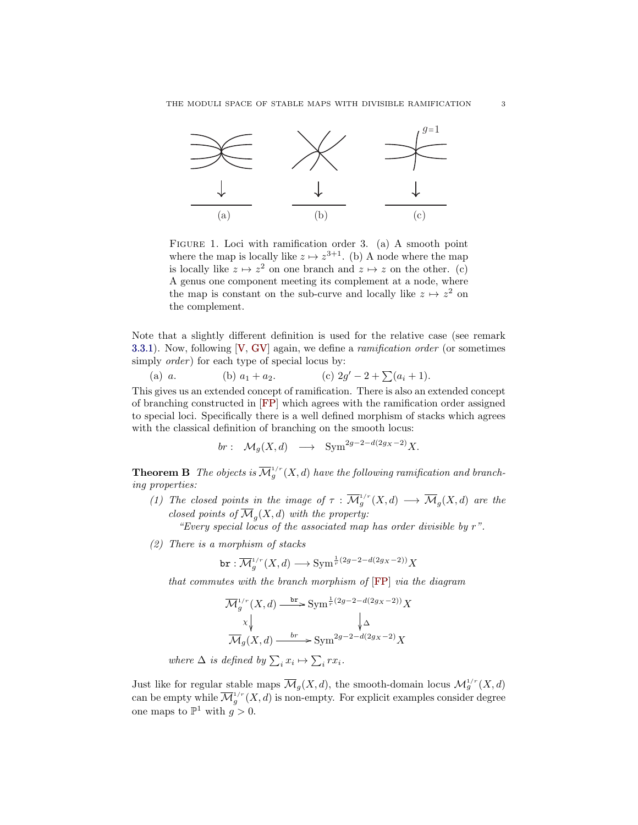

FIGURE 1. Loci with ramification order 3. (a) A smooth point where the map is locally like  $z \mapsto z^{3+1}$ . (b) A node where the map is locally like  $z \mapsto z^2$  on one branch and  $z \mapsto z$  on the other. (c) A genus one component meeting its complement at a node, where the map is constant on the sub-curve and locally like  $z \mapsto z^2$  on the complement.

Note that a slightly different definition is used for the relative case (see remark [3.3.1\)](#page-19-0). Now, following  $[V, GV]$  $[V, GV]$  $[V, GV]$  again, we define a *ramification order* (or sometimes simply  $order$ ) for each type of special locus by:

(a) a. (b) 
$$
a_1 + a_2
$$
. (c)  $2g' - 2 + \sum (a_i + 1)$ .

This gives us an extended concept of ramification. There is also an extended concept of branching constructed in [\[FP\]](#page-27-4) which agrees with the ramification order assigned to special loci. Specifically there is a well defined morphism of stacks which agrees with the classical definition of branching on the smooth locus:

$$
br: \mathcal{M}_g(X,d) \longrightarrow \text{Sym}^{2g-2-d(2g_X-2)}X.
$$

<span id="page-2-0"></span>**Theorem B** The objects is  $\overline{\mathcal{M}}_g^{1/r}(X,d)$  have the following ramification and branching properties:

<span id="page-2-1"></span>(1) The closed points in the image of  $\tau : \overline{\mathcal{M}}_g^{1/r}(X,d) \longrightarrow \overline{\mathcal{M}}_g(X,d)$  are the closed points of  $\overline{\mathcal{M}}_g(X,d)$  with the property:

"Every special locus of the associated map has order divisible by r".

(2) There is a morphism of stacks

$$
\texttt{br}: \overline{\mathcal{M}}_g^{1/r}(X, d) \longrightarrow \text{Sym}^{\frac{1}{r}(2g-2-d(2g_X-2))}X
$$

that commutes with the branch morphism of [\[FP\]](#page-27-4) via the diagram

$$
\overline{\mathcal{M}}_g^{1/r}(X, d) \xrightarrow{\text{br}} \text{Sym}^{\frac{1}{r}(2g-2-d(2g_X-2))} X
$$

$$
\times \downarrow \qquad \qquad \downarrow \Delta
$$

$$
\overline{\mathcal{M}}_g(X, d) \xrightarrow{\text{br}} \text{Sym}^{2g-2-d(2g_X-2)} X
$$
  
where  $\Delta$  is defined by  $\sum_i x_i \mapsto \sum_i rx_i$ .

Just like for regular stable maps  $\overline{\mathcal{M}}_g(X,d)$ , the smooth-domain locus  $\mathcal{M}_g^{1/r}(X,d)$ can be empty while  $\overline{\mathcal{M}}_g^{1/r}(X,d)$  is non-empty. For explicit examples consider degree one maps to  $\mathbb{P}^1$  with  $g > 0$ .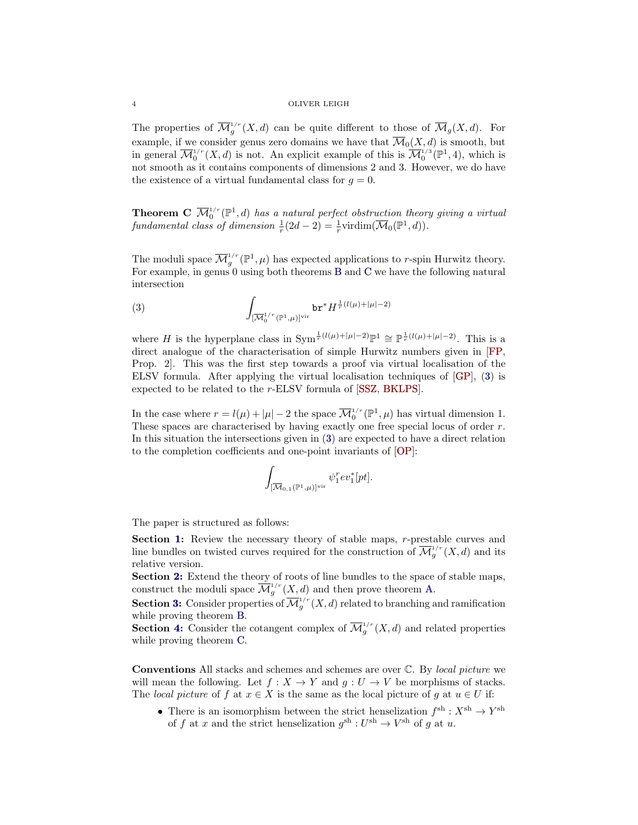The properties of  $\overline{\mathcal{M}}_g^{1/r}(X,d)$  can be quite different to those of  $\overline{\mathcal{M}}_g(X,d)$ . For example, if we consider genus zero domains we have that  $\overline{\mathcal{M}}_0(X, d)$  is smooth, but in general  $\overline{\mathcal{M}}_0^{1/r}(X,d)$  is not. An explicit example of this is  $\overline{\mathcal{M}}_0^{1/3}(\mathbb{P}^1,4)$ , which is not smooth as it contains components of dimensions 2 and 3. However, we do have the existence of a virtual fundamental class for  $q = 0$ .

<span id="page-3-0"></span>**Theorem C**  $\overline{\mathcal{M}}_0^{1/r}(\mathbb{P}^1, d)$  has a natural perfect obstruction theory giving a virtual fundamental class of dimension  $\frac{1}{r}(2d-2) = \frac{1}{r} \text{virdim}(\overline{\mathcal{M}}_0(\mathbb{P}^1, d)).$ 

The moduli space  $\overline{\mathcal{M}}_g^{1/r}(\mathbb{P}^1,\mu)$  has expected applications to r-spin Hurwitz theory. For example, in genus 0 using both theorems [B](#page-2-0) and [C](#page-3-0) we have the following natural intersection

<span id="page-3-1"></span>(3) 
$$
\int_{\left[\overline{\mathcal{M}}_0^{1/r}(\mathbb{P}^1,\mu)\right]^{\text{vir}}} \mathsf{br}^* H^{\frac{1}{r}(l(\mu)+|\mu|-2)}
$$

where H is the hyperplane class in  $\text{Sym}^{\frac{1}{r}(l(\mu)+|\mu|-2)}\mathbb{P}^1 \cong \mathbb{P}^{\frac{1}{r}(l(\mu)+|\mu|-2)}$ . This is a direct analogue of the characterisation of simple Hurwitz numbers given in [\[FP,](#page-27-4) Prop. 2]. This was the first step towards a proof via virtual localisation of the ELSV formula. After applying the virtual localisation techniques of [\[GP\]](#page-27-5), [\(3\)](#page-3-1) is expected to be related to the r-ELSV formula of [\[SSZ,](#page-27-6) [BKLPS\]](#page-27-7).

In the case where  $r = l(\mu) + |\mu| - 2$  the space  $\overline{\mathcal{M}}_0^{1/r}(\mathbb{P}^1, \mu)$  has virtual dimension 1. These spaces are characterised by having exactly one free special locus of order r. In this situation the intersections given in [\(3\)](#page-3-1) are expected to have a direct relation to the completion coefficients and one-point invariants of [\[OP\]](#page-27-8):

$$
\int_{[\overline{\mathcal{M}}_{0,1}(\mathbb{P}^1,\mu)]^{\mathrm{vir}}} \psi_1^r ev_1^*[pt].
$$

The paper is structured as follows:

Section [1:](#page-4-1) Review the necessary theory of stable maps, r-prestable curves and line bundles on twisted curves required for the construction of  $\overline{\mathcal{M}}_g^{1/r}(X, d)$  and its relative version.

Section [2:](#page-10-0) Extend the theory of roots of line bundles to the space of stable maps, construct the moduli space  $\overline{\mathcal{M}}_g^{1/r}(X,d)$  and then prove theorem [A.](#page-1-2)

**Section [3:](#page-14-0)** Consider properties of  $\overline{\mathcal{M}}_g^{1/r}(X,d)$  related to branching and ramification while proving theorem [B.](#page-2-0)

**Section [4:](#page-20-0)** Consider the cotangent complex of  $\overline{\mathcal{M}}_g^{1/r}(X, d)$  and related properties while proving theorem [C.](#page-3-0)

Conventions All stacks and schemes and schemes are over C. By local picture we will mean the following. Let  $f : X \to Y$  and  $g : U \to V$  be morphisms of stacks. The local picture of f at  $x \in X$  is the same as the local picture of q at  $u \in U$  if:

• There is an isomorphism between the strict henselization  $f^{\text{sh}} : X^{\text{sh}} \to Y^{\text{sh}}$ of f at x and the strict henselization  $g^{\text{sh}} : U^{\text{sh}} \to V^{\text{sh}}$  of g at u.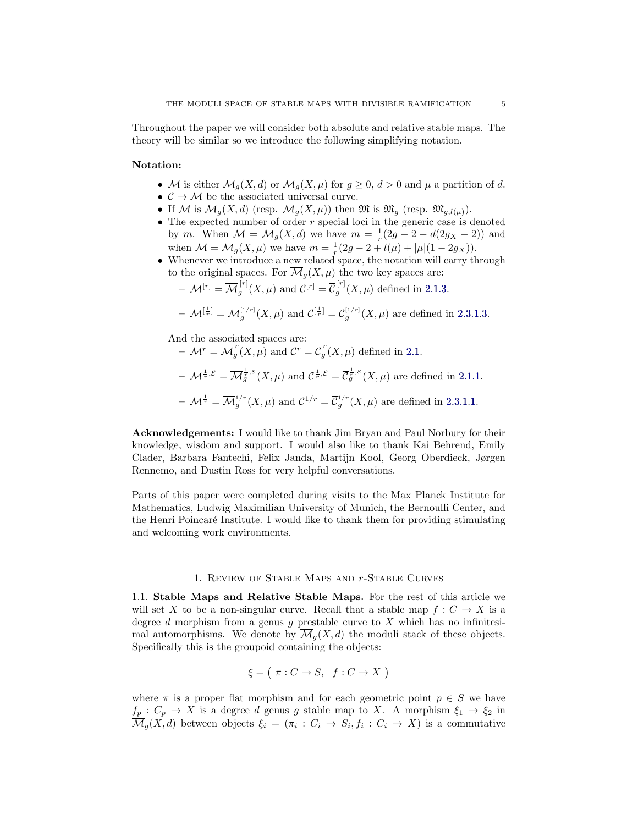Throughout the paper we will consider both absolute and relative stable maps. The theory will be similar so we introduce the following simplifying notation.

## <span id="page-4-2"></span>Notation:

- M is either  $\overline{\mathcal{M}}_q(X,d)$  or  $\overline{\mathcal{M}}_q(X,\mu)$  for  $g\geq 0$ ,  $d>0$  and  $\mu$  a partition of d.
- $\bullet \ \ \mathcal{C} \rightarrow \mathcal{M}$  be the associated universal curve.
- If M is  $\overline{\mathcal{M}}_g(X,d)$  (resp.  $\overline{\mathcal{M}}_g(X,\mu)$ ) then  $\mathfrak{M}$  is  $\mathfrak{M}_g$  (resp.  $\mathfrak{M}_{g,l(\mu)}$ ).
- The expected number of order  $r$  special loci in the generic case is denoted by m. When  $\mathcal{M} = \overline{\mathcal{M}}_g(X, d)$  we have  $m = \frac{1}{r}(2g - 2 - d(2g_X - 2))$  and when  $\mathcal{M} = \overline{\mathcal{M}}_g(X,\mu)$  we have  $m = \frac{1}{r}(2g - 2 + l(\mu) + |\mu|(1 - 2g_X)).$
- Whenever we introduce a new related space, the notation will carry through to the original spaces. For  $\overline{\mathcal{M}}_g(X,\mu)$  the two key spaces are:

$$
- \mathcal{M}^{[r]} = \overline{\mathcal{M}}_g^{[r]}(X,\mu) \text{ and } \mathcal{C}^{[r]} = \overline{\mathcal{C}}_g^{[r]}(X,\mu) \text{ defined in 2.1.3.}
$$

- 
$$
\mathcal{M}^{[\frac{1}{r}]} = \overline{\mathcal{M}}_g^{[1/r]}(X,\mu)
$$
 and  $\mathcal{C}^{[\frac{1}{r}]} = \overline{\mathcal{C}}_g^{[1/r]}(X,\mu)$  are defined in 2.3.1.3.

And the associated spaces are:

 $-\mathcal{M}^r = \overline{\mathcal{M}}_a^r$  $\int_{g}^{r}(X,\mu)$  and  $\mathcal{C}^{r}=\overline{\mathcal{C}}_{g}^{r}$  $g(X,\mu)$  defined in [2.1.](#page-11-1)  $-\mathcal{M}^{\frac{1}{r},\mathcal{E}} = \overline{\mathcal{M}}_g^{\frac{1}{r},\mathcal{E}}(X,\mu)$  and  $\mathcal{C}^{\frac{1}{r},\mathcal{E}} = \overline{\mathcal{C}}_g^{\frac{1}{r},\mathcal{E}}(X,\mu)$  are defined in [2.1.1.](#page-11-2)  $-\mathcal{M}^{\frac{1}{r}} = \overline{\mathcal{M}}_g^{1/r}(X,\mu)$  and  $\mathcal{C}^{1/r} = \overline{\mathcal{C}}_g^{1/r}(X,\mu)$  are defined in [2.3.1.](#page-13-0)[1.](#page-13-1)

Acknowledgements: I would like to thank Jim Bryan and Paul Norbury for their knowledge, wisdom and support. I would also like to thank Kai Behrend, Emily Clader, Barbara Fantechi, Felix Janda, Martijn Kool, Georg Oberdieck, Jørgen Rennemo, and Dustin Ross for very helpful conversations.

Parts of this paper were completed during visits to the Max Planck Institute for Mathematics, Ludwig Maximilian University of Munich, the Bernoulli Center, and the Henri Poincaré Institute. I would like to thank them for providing stimulating and welcoming work environments.

## 1. Review of Stable Maps and r-Stable Curves

<span id="page-4-1"></span><span id="page-4-0"></span>1.1. Stable Maps and Relative Stable Maps. For the rest of this article we will set X to be a non-singular curve. Recall that a stable map  $f: C \to X$  is a degree  $d$  morphism from a genus  $g$  prestable curve to  $X$  which has no infinitesimal automorphisms. We denote by  $\overline{\mathcal{M}}_q(X,d)$  the moduli stack of these objects. Specifically this is the groupoid containing the objects:

$$
\xi = (\pi : C \to S, f : C \to X)
$$

where  $\pi$  is a proper flat morphism and for each geometric point  $p \in S$  we have  $f_p: C_p \to X$  is a degree d genus g stable map to X. A morphism  $\xi_1 \to \xi_2$  in  $\overline{\mathcal{M}}_g(X,d)$  between objects  $\xi_i = (\pi_i : C_i \to S_i, f_i : C_i \to X)$  is a commutative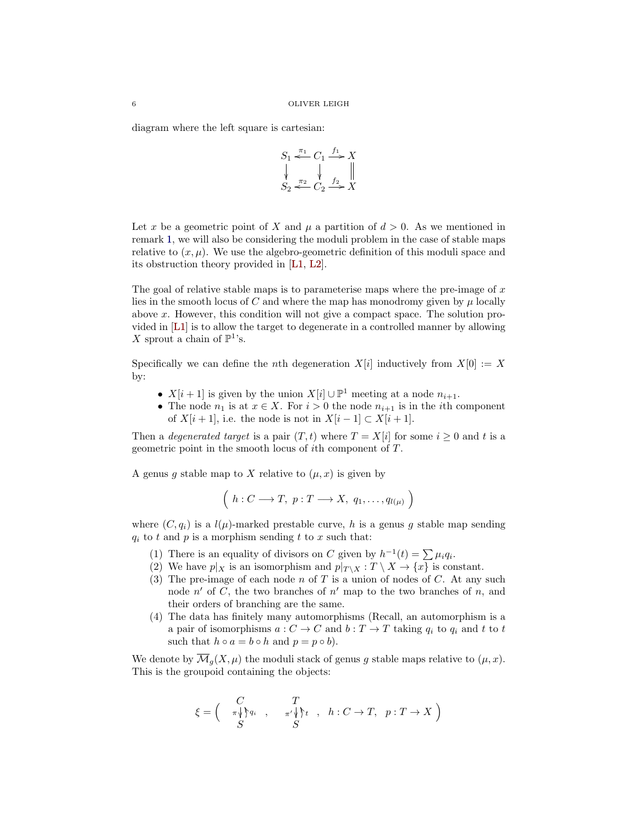diagram where the left square is cartesian:

$$
S_1 \stackrel{\pi_1}{\underset{\smile}{\longleftarrow}} C_1 \stackrel{f_1}{\underset{\smile}{\longrightarrow}} X
$$
  

$$
\downarrow \quad \downarrow \quad \downarrow \quad \downarrow
$$
  

$$
S_2 \stackrel{\pi_2}{\underset{\smile}{\longleftarrow}} C_2 \stackrel{f_2}{\underset{\smile}{\longrightarrow}} X
$$

Let x be a geometric point of X and  $\mu$  a partition of  $d > 0$ . As we mentioned in remark [1,](#page-1-3) we will also be considering the moduli problem in the case of stable maps relative to  $(x, \mu)$ . We use the algebro-geometric definition of this moduli space and its obstruction theory provided in [\[L1,](#page-27-9) [L2\]](#page-27-10).

The goal of relative stable maps is to parameterise maps where the pre-image of  $x$ lies in the smooth locus of C and where the map has monodromy given by  $\mu$  locally above x. However, this condition will not give a compact space. The solution provided in [\[L1\]](#page-27-9) is to allow the target to degenerate in a controlled manner by allowing X sprout a chain of  $\mathbb{P}^1$ 's.

Specifically we can define the *n*th degeneration  $X[i]$  inductively from  $X[0] := X$ by:

- $X[i+1]$  is given by the union  $X[i] \cup \mathbb{P}^1$  meeting at a node  $n_{i+1}$ .
- The node  $n_1$  is at  $x \in X$ . For  $i > 0$  the node  $n_{i+1}$  is in the *i*th component of  $X[i + 1]$ , i.e. the node is not in  $X[i - 1] \subset X[i + 1]$ .

Then a *degenerated target* is a pair  $(T, t)$  where  $T = X[i]$  for some  $i \geq 0$  and t is a geometric point in the smooth locus of ith component of T.

A genus g stable map to X relative to  $(\mu, x)$  is given by

$$
\left(h:C\longrightarrow T,\ p:T\longrightarrow X,\ q_1,\ldots,q_{l(\mu)}\right)
$$

where  $(C, q_i)$  is a  $l(\mu)$ -marked prestable curve, h is a genus g stable map sending  $q_i$  to t and p is a morphism sending t to x such that:

- (1) There is an equality of divisors on C given by  $h^{-1}(t) = \sum \mu_i q_i$ .
- (2) We have  $p|_X$  is an isomorphism and  $p|_{T\setminus X}: T\setminus X \to \{x\}$  is constant.
- (3) The pre-image of each node n of T is a union of nodes of C. At any such node  $n'$  of C, the two branches of  $n'$  map to the two branches of n, and their orders of branching are the same.
- (4) The data has finitely many automorphisms (Recall, an automorphism is a a pair of isomorphisms  $a: C \to C$  and  $b: T \to T$  taking  $q_i$  to  $q_i$  and t to t such that  $h \circ a = b \circ h$  and  $p = p \circ b$ ).

We denote by  $\overline{\mathcal{M}}_q(X,\mu)$  the moduli stack of genus g stable maps relative to  $(\mu, x)$ . This is the groupoid containing the objects:

$$
\xi = \begin{pmatrix} C & T \\ \pi \sqrt{\xi} a_i, \dots, \pi' \sqrt{\xi} t, \dots, h : C \to T, \quad p : T \to X \end{pmatrix}
$$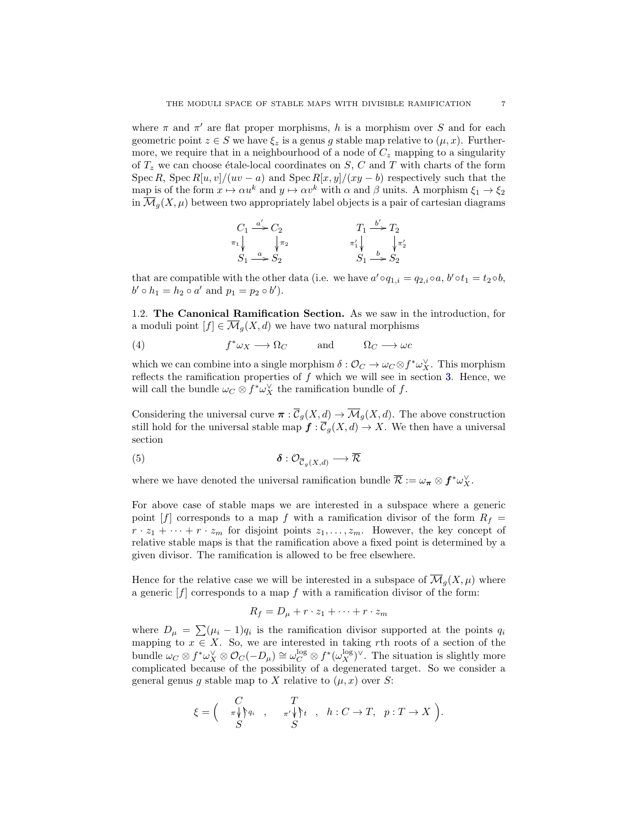where  $\pi$  and  $\pi'$  are flat proper morphisms, h is a morphism over S and for each geometric point  $z \in S$  we have  $\xi_z$  is a genus g stable map relative to  $(\mu, x)$ . Furthermore, we require that in a neighbourhood of a node of  $C_z$  mapping to a singularity of  $T_z$  we can choose étale-local coordinates on  $S$ ,  $C$  and  $T$  with charts of the form Spec R, Spec  $R[u, v]/(uv - a)$  and Spec  $R[x, y]/(xy - b)$  respectively such that the map is of the form  $x \mapsto \alpha u^k$  and  $y \mapsto \alpha v^k$  with  $\alpha$  and  $\beta$  units. A morphism  $\xi_1 \to \xi_2$ in  $\mathcal{M}_q(X,\mu)$  between two appropriately label objects is a pair of cartesian diagrams

$$
C_1 \xrightarrow{\alpha'} C_2
$$
  
\n
$$
\pi_1 \downarrow \qquad \qquad \downarrow \pi_2
$$
  
\n
$$
S_1 \xrightarrow{\alpha} S_2
$$
  
\n
$$
S_1 \xrightarrow{\beta} S_2
$$
  
\n
$$
S_1 \xrightarrow{b} S_2
$$

that are compatible with the other data (i.e. we have  $a' \circ q_{1,i} = q_{2,i} \circ a, b' \circ t_1 = t_2 \circ b$ ,  $b' \circ h_1 = h_2 \circ a'$  and  $p_1 = p_2 \circ b'$ .

<span id="page-6-2"></span>1.2. The Canonical Ramification Section. As we saw in the introduction, for a moduli point  $[f] \in \overline{\mathcal{M}}_q(X,d)$  we have two natural morphisms

<span id="page-6-0"></span>(4) 
$$
f^* \omega_X \longrightarrow \Omega_C
$$
 and  $\Omega_C \longrightarrow \omega C$ 

which we can combine into a single morphism  $\delta: \mathcal{O}_C \to \omega_C \otimes f^* \omega_X^{\vee}$ . This morphism reflects the ramification properties of  $f$  which we will see in section [3.](#page-14-0) Hence, we will call the bundle  $\omega_C \otimes f^* \omega_X^{\vee}$  the ramification bundle of  $f$ .

Considering the universal curve  $\pi : \overline{\mathcal{C}}_q(X,d) \to \overline{\mathcal{M}}_q(X,d)$ . The above construction still hold for the universal stable map  $f : \overline{\mathcal{C}}_g(X, d) \to X$ . We then have a universal section

<span id="page-6-1"></span>
$$
\delta: \mathcal{O}_{\overline{C}_g(X,d)} \longrightarrow \overline{\mathcal{R}}
$$

where we have denoted the universal ramification bundle  $\overline{\mathcal{R}} := \omega_{\boldsymbol{\pi}} \otimes \boldsymbol{f}^* \omega_X^{\vee}$ .

For above case of stable maps we are interested in a subspace where a generic point  $[f]$  corresponds to a map f with a ramification divisor of the form  $R_f =$  $r \cdot z_1 + \cdots + r \cdot z_m$  for disjoint points  $z_1, \ldots, z_m$ . However, the key concept of relative stable maps is that the ramification above a fixed point is determined by a given divisor. The ramification is allowed to be free elsewhere.

Hence for the relative case we will be interested in a subspace of  $\mathcal{M}_q(X,\mu)$  where a generic  $|f|$  corresponds to a map f with a ramification divisor of the form:

$$
R_f = D_\mu + r \cdot z_1 + \dots + r \cdot z_m
$$

where  $D_{\mu} = \sum_{i} (\mu_i - 1) q_i$  is the ramification divisor supported at the points  $q_i$ mapping to  $x \in X$ . So, we are interested in taking rth roots of a section of the bundle  $\omega_C \otimes f^* \omega_X^{\vee} \otimes \mathcal{O}_C(-D_\mu) \cong \omega_C^{\log} \otimes f^* (\omega_X^{\log})^{\vee}$ . The situation is slightly more complicated because of the possibility of a degenerated target. So we consider a general genus g stable map to X relative to  $(\mu, x)$  over S:

$$
\xi = \begin{pmatrix} C & T \\ \pi \sqrt{2} q_i & , & \pi' \sqrt{2} t \\ S & S & S \end{pmatrix}, \quad h: C \to T, \quad p: T \to X \text{ }.
$$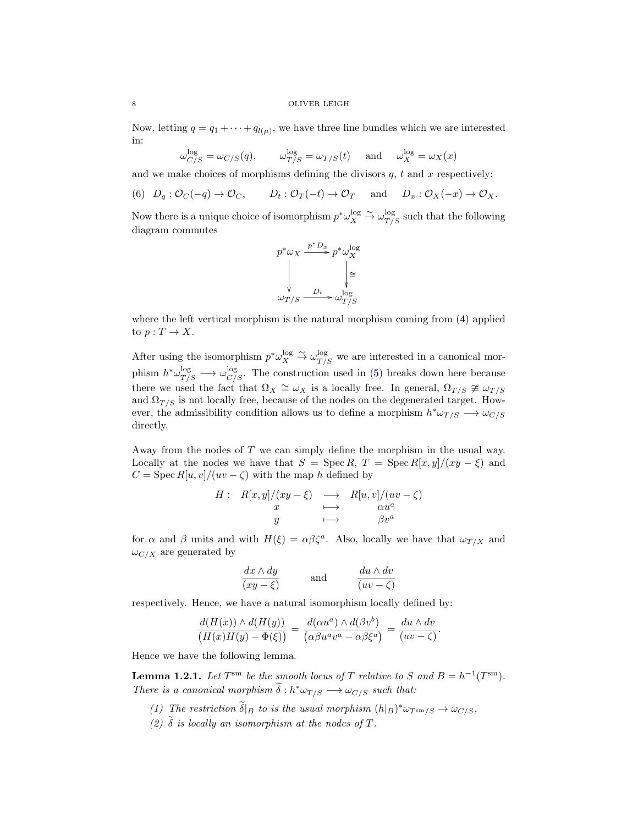Now, letting  $q = q_1 + \cdots + q_{l(\mu)}$ , we have three line bundles which we are interested in:

$$
\omega_{C/S}^{\log} = \omega_{C/S}(q), \qquad \omega_{T/S}^{\log} = \omega_{T/S}(t) \quad \text{and} \quad \omega_X^{\log} = \omega_X(x)
$$

and we make choices of morphisms defining the divisors  $q$ ,  $t$  and  $x$  respectively:

<span id="page-7-1"></span>(6)  $D_q: \mathcal{O}_C(-q) \to \mathcal{O}_C$ ,  $D_t: \mathcal{O}_T(-t) \to \mathcal{O}_T$  and  $D_x: \mathcal{O}_X(-x) \to \mathcal{O}_X$ .

Now there is a unique choice of isomorphism  $p^* \omega_X^{\log} \stackrel{\sim}{\to} \omega_{T/S}^{\log}$  such that the following diagram commutes



where the left vertical morphism is the natural morphism coming from [\(4\)](#page-6-0) applied to  $p: T \to X$ .

After using the isomorphism  $p^*\omega_X^{\log} \stackrel{\sim}{\to} \omega_{T/S}^{\log}$  we are interested in a canonical morphism  $h^* \omega_{T/S}^{\log} \longrightarrow \omega_{C/S}^{\log}$ . The construction used in [\(5\)](#page-6-1) breaks down here because there we used the fact that  $\Omega_X \cong \omega_X$  is a locally free. In general,  $\Omega_{T/S} \ncong \omega_{T/S}$ and  $\Omega_{T/S}$  is not locally free, because of the nodes on the degenerated target. However, the admissibility condition allows us to define a morphism  $h^* \omega_{T/S} \longrightarrow \omega_{C/S}$ directly.

Away from the nodes of T we can simply define the morphism in the usual way. Locally at the nodes we have that  $S = \operatorname{Spec} R$ ,  $T = \operatorname{Spec} R[x, y]/(xy - \xi)$  and  $C = \text{Spec } R[u, v]/(uv - \zeta)$  with the map h defined by

$$
H: R[x, y]/(xy - \xi) \longrightarrow R[u, v]/(uv - \zeta)
$$
  

$$
x \longmapsto \alpha u^{a}
$$
  

$$
y \longmapsto \beta v^{a}
$$

for  $\alpha$  and  $\beta$  units and with  $H(\xi) = \alpha \beta \zeta^a$ . Also, locally we have that  $\omega_{T/X}$  and  $\omega_{C/X}$  are generated by

$$
\frac{dx \wedge dy}{(xy - \xi)} \quad \text{and} \quad \frac{du \wedge dv}{(uv - \zeta)}
$$

respectively. Hence, we have a natural isomorphism locally defined by:

$$
\frac{d(H(x)) \wedge d(H(y))}{(H(x)H(y) - \Phi(\xi))} = \frac{d(\alpha u^a) \wedge d(\beta v^b)}{(\alpha \beta u^a v^a - \alpha \beta \xi^a)} = \frac{du \wedge dv}{(uv - \zeta)}.
$$

Hence we have the following lemma.

<span id="page-7-0"></span>**Lemma 1.2.1.** Let  $T^{\text{sm}}$  be the smooth locus of T relative to S and  $B = h^{-1}(T^{\text{sm}})$ . There is a canonical morphism  $\tilde{\delta}: h^* \omega_{T/S} \longrightarrow \omega_{C/S}$  such that:

- (1) The restriction  $\tilde{\delta}|_B$  to is the usual morphism  $(h|_B)^*\omega_{T^{sm}/S} \to \omega_{C/S}$ ,
- (2)  $\tilde{\delta}$  is locally an isomorphism at the nodes of T.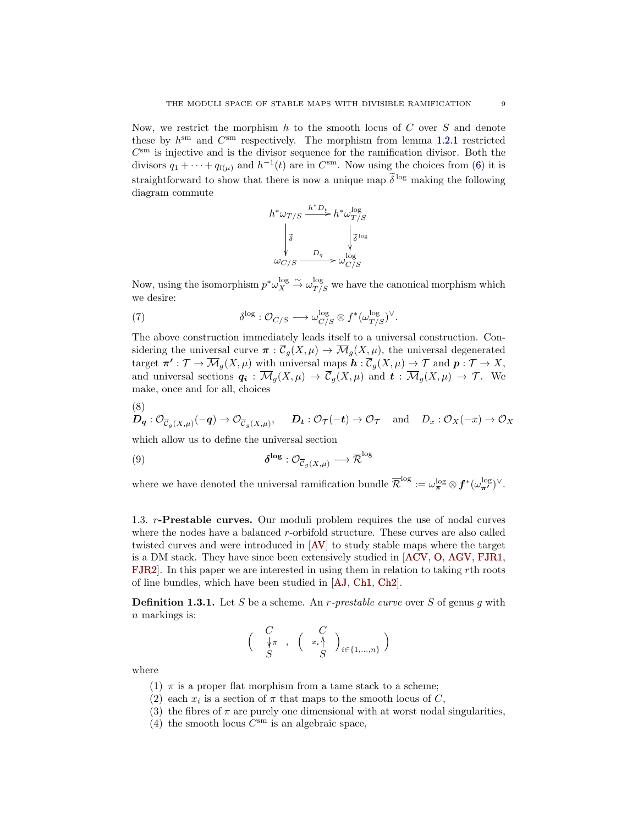Now, we restrict the morphism  $h$  to the smooth locus of  $C$  over  $S$  and denote these by  $h^{\text{sm}}$  and  $C^{\text{sm}}$  respectively. The morphism from lemma [1.2.1](#page-7-0) restricted  $C<sup>sm</sup>$  is injective and is the divisor sequence for the ramification divisor. Both the divisors  $q_1 + \cdots + q_{l(\mu)}$  and  $h^{-1}(t)$  are in  $C^{sm}$ . Now using the choices from [\(6\)](#page-7-1) it is straightforward to show that there is now a unique map  $\tilde{\delta}^{\log}$  making the following diagram commute

$$
h^*\omega_{T/S} \xrightarrow{h^*D_t} h^*\omega^{\log}_{T/S} \downarrow \delta^{\log} \downarrow \delta^{\log} \downarrow \delta^{\log} \omega_{C/S} \xrightarrow{D_q} \omega^{\log}_{C/S}
$$

Now, using the isomorphism  $p^*\omega_X^{\log} \stackrel{\sim}{\to} \omega_{T/S}^{\log}$  we have the canonical morphism which we desire:

(7) 
$$
\delta^{\log} : \mathcal{O}_{C/S} \longrightarrow \omega_{C/S}^{\log} \otimes f^*(\omega_{T/S}^{\log})^{\vee}.
$$

The above construction immediately leads itself to a universal construction. Considering the universal curve  $\pi : \overline{\mathcal{C}}_q(X,\mu) \to \overline{\mathcal{M}}_q(X,\mu)$ , the universal degenerated target  $\pi': \mathcal{T} \to \overline{\mathcal{M}}_g(X,\mu)$  with universal maps  $\mathbf{h}: \overline{\mathcal{C}}_g(X,\mu) \to \mathcal{T}$  and  $\mathbf{p}: \mathcal{T} \to X$ , and universal sections  $q_i : \overline{\mathcal{M}}_q(X,\mu) \to \overline{\mathcal{C}}_q(X,\mu)$  and  $t : \overline{\mathcal{M}}_q(X,\mu) \to \mathcal{T}$ . We make, once and for all, choices

$$
\mathbf{D}_{\mathbf{q}}: \mathcal{O}_{\overline{\mathcal{C}}_{g}(X,\mu)}(-\mathbf{q}) \to \mathcal{O}_{\overline{\mathcal{C}}_{g}(X,\mu)}, \quad \mathbf{D}_{\mathbf{t}}: \mathcal{O}_{\mathcal{T}}(-\mathbf{t}) \to \mathcal{O}_{\mathcal{T}} \quad \text{and} \quad D_{x}: \mathcal{O}_{X}(-x) \to \mathcal{O}_{X}
$$

which allow us to define the universal section

<span id="page-8-1"></span>(9) 
$$
\delta^{\log} : \mathcal{O}_{\overline{\mathcal{C}}_g(X,\mu)} \longrightarrow \overline{\mathcal{R}}^{\log}
$$

where we have denoted the universal ramification bundle  $\overline{\mathcal{R}}^{\log} := \omega_{\pi}^{\log} \otimes f^*(\omega_{\pi'}^{\log})^{\vee}$ .

<span id="page-8-0"></span>1.3. r-Prestable curves. Our moduli problem requires the use of nodal curves where the nodes have a balanced r-orbifold structure. These curves are also called twisted curves and were introduced in [\[AV\]](#page-27-11) to study stable maps where the target is a DM stack. They have since been extensively studied in [\[ACV,](#page-27-12) [O,](#page-27-13) [AGV,](#page-27-14) [FJR1,](#page-27-15) [FJR2\]](#page-27-16). In this paper we are interested in using them in relation to taking rth roots of line bundles, which have been studied in [\[AJ,](#page-27-1) [Ch1,](#page-27-2) [Ch2\]](#page-27-17).

**Definition 1.3.1.** Let S be a scheme. An r-prestable curve over S of genus g with  $n$  markings is:

$$
\left(\begin{array}{c} C \\ \sqrt[4]{\pi} \\ S \end{array}, \begin{array}{c} C \\ \left(\begin{array}{c} x_i \wedge \\ S \end{array}\right)_{i \in \{1, \dots, n\}} \end{array}\right)
$$

where

 $(8)$ 

- (1)  $\pi$  is a proper flat morphism from a tame stack to a scheme;
- (2) each  $x_i$  is a section of  $\pi$  that maps to the smooth locus of C,
- (3) the fibres of  $\pi$  are purely one dimensional with at worst nodal singularities,
- (4) the smooth locus  $C<sup>sm</sup>$  is an algebraic space,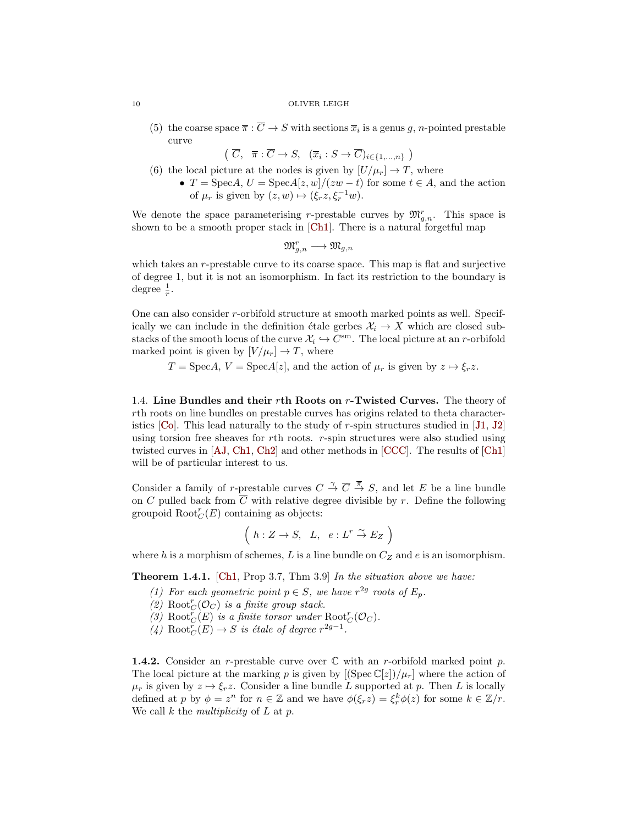(5) the coarse space  $\overline{\pi}$  :  $\overline{C} \to S$  with sections  $\overline{x}_i$  is a genus g, n-pointed prestable curve

 $\left(\begin{array}{ccc} \overline{C}, & \overline{\pi}:\overline{C} \to S, & (\overline{x}_i:S \to \overline{C})_{i\in\{1,\ldots,n\}} \end{array}\right)$ 

- (6) the local picture at the nodes is given by  $[U/\mu_r] \to T$ , where
	- $T = \text{Spec} A, U = \text{Spec} A[z, w]/(zw t)$  for some  $t \in A$ , and the action of  $\mu_r$  is given by  $(z, w) \mapsto (\xi_r z, \xi_r^{-1} w)$ .

We denote the space parameterising r-prestable curves by  $\mathfrak{M}_{g,n}^r$ . This space is shown to be a smooth proper stack in [\[Ch1\]](#page-27-2). There is a natural forgetful map

$$
\mathfrak{M}_{g,n}^r\longrightarrow \mathfrak{M}_{g,n}
$$

which takes an r-prestable curve to its coarse space. This map is flat and surjective of degree 1, but it is not an isomorphism. In fact its restriction to the boundary is degree  $\frac{1}{r}$ .

One can also consider r-orbifold structure at smooth marked points as well. Specifically we can include in the definition étale gerbes  $\mathcal{X}_i \to X$  which are closed substacks of the smooth locus of the curve  $\mathcal{X}_i \hookrightarrow C^{\text{sm}}$ . The local picture at an *r*-orbifold marked point is given by  $[V/\mu_r] \to T$ , where

 $T = \text{Spec} A, V = \text{Spec} A[z],$  and the action of  $\mu_r$  is given by  $z \mapsto \xi_r z$ .

1.4. Line Bundles and their rth Roots on  $r$ -Twisted Curves. The theory of rth roots on line bundles on prestable curves has origins related to theta characteristics  $[C_0]$ . This lead naturally to the study of r-spin structures studied in [\[J1,](#page-27-19) [J2\]](#page-27-20) using torsion free sheaves for  $r$ th roots.  $r$ -spin structures were also studied using twisted curves in [\[AJ,](#page-27-1) [Ch1,](#page-27-2) [Ch2\]](#page-27-17) and other methods in [\[CCC\]](#page-27-21). The results of [\[Ch1\]](#page-27-2) will be of particular interest to us.

Consider a family of r-prestable curves  $C \stackrel{\gamma}{\to} \overline{C} \stackrel{\pi}{\to} S$ , and let E be a line bundle on C pulled back from  $\overline{C}$  with relative degree divisible by r. Define the following groupoid  $\text{Root}_{C}^{r}(E)$  containing as objects:

$$
\left(h:Z\to S, L, e:L^r\stackrel{\sim}{\to} E_Z\right)
$$

where h is a morphism of schemes, L is a line bundle on  $C_Z$  and e is an isomorphism.

<span id="page-9-0"></span>Theorem 1.4.1. [\[Ch1,](#page-27-2) Prop 3.7, Thm 3.9] In the situation above we have:

- (1) For each geometric point  $p \in S$ , we have  $r^{2g}$  roots of  $E_p$ .
- (2)  $\text{Root}^r_C(\mathcal{O}_C)$  is a finite group stack.
- (3) Root ${}^r_C(E)$  is a finite torsor under  $Root^r_C(\mathcal{O}_C)$ .
- (4) Root $_{C}^{r}(E) \rightarrow S$  is étale of degree  $r^{2g-1}$ .

**1.4.2.** Consider an r-prestable curve over  $\mathbb C$  with an r-orbifold marked point p. The local picture at the marking p is given by  $[(\text{Spec } \mathbb{C}[z])/\mu_r]$  where the action of  $\mu_r$  is given by  $z \mapsto \xi_r z$ . Consider a line bundle L supported at p. Then L is locally defined at p by  $\phi = z^n$  for  $n \in \mathbb{Z}$  and we have  $\phi(\xi_r z) = \xi_r^k \phi(z)$  for some  $k \in \mathbb{Z}/r$ . We call  $k$  the multiplicity of  $L$  at  $p$ .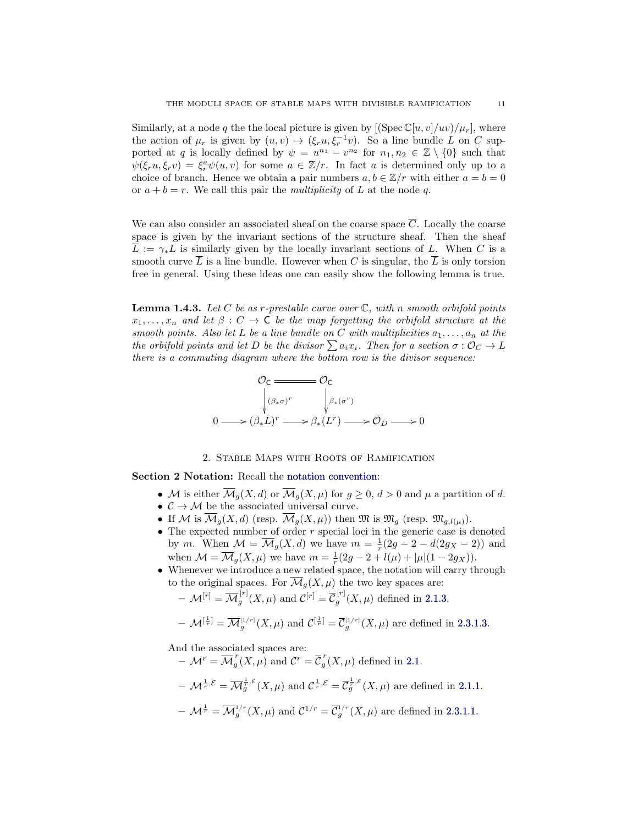Similarly, at a node q the the local picture is given by  $[(\text{Spec } \mathbb{C}[u, v]/uv)/\mu_r]$ , where the action of  $\mu_r$  is given by  $(u, v) \mapsto (\xi_r u, \xi_r^{-1} v)$ . So a line bundle L on C supported at q is locally defined by  $\psi = u^{n_1} - v^{n_2}$  for  $n_1, n_2 \in \mathbb{Z} \setminus \{0\}$  such that  $\psi(\xi_r u, \xi_r v) = \xi_r^a \psi(u, v)$  for some  $a \in \mathbb{Z}/r$ . In fact a is determined only up to a choice of branch. Hence we obtain a pair numbers  $a, b \in \mathbb{Z}/r$  with either  $a = b = 0$ or  $a + b = r$ . We call this pair the *multiplicity* of L at the node q.

We can also consider an associated sheaf on the coarse space  $\overline{C}$ . Locally the coarse space is given by the invariant sections of the structure sheaf. Then the sheaf  $\overline{L} := \gamma_* L$  is similarly given by the locally invariant sections of L. When C is a smooth curve  $\overline{L}$  is a line bundle. However when C is singular, the  $\overline{L}$  is only torsion free in general. Using these ideas one can easily show the following lemma is true.

<span id="page-10-1"></span>**Lemma 1.4.3.** Let C be as r-prestable curve over  $\mathbb{C}$ , with n smooth orbifold points  $x_1, \ldots, x_n$  and let  $\beta : C \to \mathsf{C}$  be the map forgetting the orbifold structure at the smooth points. Also let L be a line bundle on C with multiplicities  $a_1, \ldots, a_n$  at the the orbifold points and let D be the divisor  $\sum a_i x_i$ . Then for a section  $\sigma : \mathcal{O}_C \to L$ there is a commuting diagram where the bottom row is the divisor sequence:

$$
\mathcal{O}_{\mathsf{C}} \xrightarrow{\qquad \qquad } \mathcal{O}_{\mathsf{C}} \\
\downarrow^{(\beta_{\ast}\sigma)^{r}} \qquad \qquad \downarrow^{(\beta_{\ast}(\sigma^{r}))} \\
0 \longrightarrow (\beta_{\ast}L)^{r} \longrightarrow \beta_{\ast}(L^{r}) \longrightarrow \mathcal{O}_{D} \longrightarrow 0
$$

### 2. Stable Maps with Roots of Ramification

<span id="page-10-0"></span>Section 2 Notation: Recall the [notation convention:](#page-4-2)

- M is either  $\overline{\mathcal{M}}_q(X,d)$  or  $\overline{\mathcal{M}}_q(X,\mu)$  for  $q \geq 0, d > 0$  and  $\mu$  a partition of d.
- $\bullet \ \ \mathcal{C} \rightarrow \mathcal{M}$  be the associated universal curve.
- If M is  $\overline{\mathcal{M}}_q(X,d)$  (resp.  $\overline{\mathcal{M}}_q(X,\mu)$ ) then  $\mathfrak{M}$  is  $\mathfrak{M}_q$  (resp.  $\mathfrak{M}_{q,l(\mu)}$ ).
- $\bullet$  The expected number of order  $r$  special loci in the generic case is denoted by m. When  $\mathcal{M} = \overline{\mathcal{M}}_g(X, d)$  we have  $m = \frac{1}{r}(2g - 2 - d(2g_X - 2))$  and when  $\mathcal{M} = \overline{\mathcal{M}}_g(X,\mu)$  we have  $m = \frac{1}{r}(2g - 2 + l(\mu) + |\mu|(1 - 2g_X)).$
- Whenever we introduce a new related space, the notation will carry through to the original spaces. For  $\overline{\mathcal{M}}_g(X,\mu)$  the two key spaces are:
	- $-|\mathcal{M}^{[r]} = \overline{\mathcal{M}}^{[r]}_a$  $\mathcal{C}_g^{[r]}(X,\mu)$  and  $\mathcal{C}^{[r]} = \overline{\mathcal{C}}_g^{[r]}$  $g^{(1)}(X,\mu)$  defined in [2.1.3.](#page-11-0)

$$
-\mathcal{M}^{[\frac{1}{r}]} = \overline{\mathcal{M}}_g^{[1/r]}(X,\mu) \text{ and } \mathcal{C}^{[\frac{1}{r}]} = \overline{\mathcal{C}}_g^{[1/r]}(X,\mu) \text{ are defined in 2.3.1.3.}
$$

And the associated spaces are:

 $-\mathcal{M}^r = \overline{\mathcal{M}}_a^r$  $\int_{g}^{r}(X,\mu)$  and  $\mathcal{C}^{r}=\overline{\mathcal{C}}_{g}^{r}$  $g'(X,\mu)$  defined in [2.1.](#page-11-1)  $-\mathcal{M}^{\frac{1}{r},\mathcal{E}} = \overline{\mathcal{M}}_g^{\frac{1}{r},\mathcal{E}}(X,\mu)$  and  $\mathcal{C}^{\frac{1}{r},\mathcal{E}} = \overline{\mathcal{C}}_g^{\frac{1}{r},\mathcal{E}}(X,\mu)$  are defined in [2.1.1.](#page-11-2)  $-\mathcal{M}^{\frac{1}{r}} = \overline{\mathcal{M}}_g^{1/r}(X,\mu)$  and  $\mathcal{C}^{1/r} = \overline{\mathcal{C}}_g^{1/r}(X,\mu)$  are defined in [2.3.1.](#page-13-0)[1.](#page-13-1)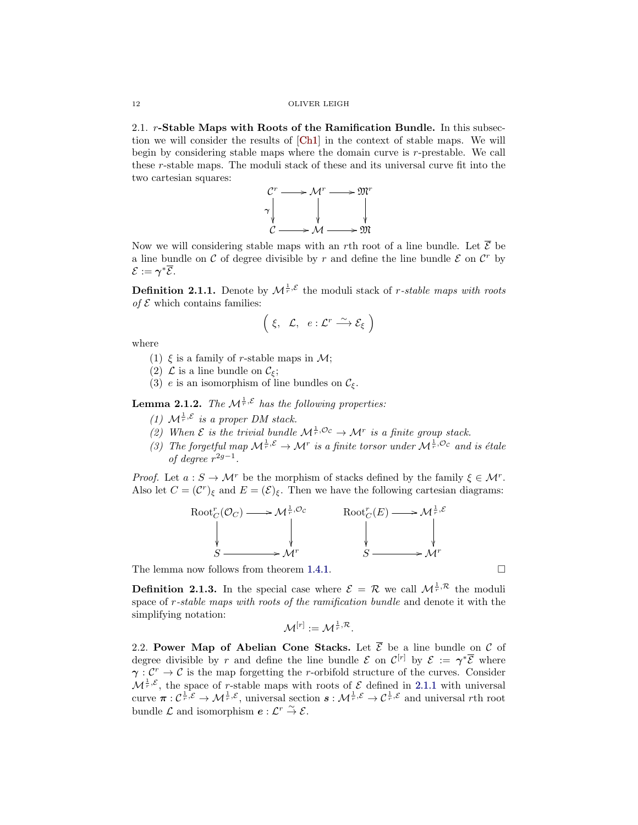<span id="page-11-1"></span>2.1. r-Stable Maps with Roots of the Ramification Bundle. In this subsection we will consider the results of [\[Ch1\]](#page-27-2) in the context of stable maps. We will begin by considering stable maps where the domain curve is r-prestable. We call these r-stable maps. The moduli stack of these and its universal curve fit into the two cartesian squares:



Now we will considering stable maps with an *r*th root of a line bundle. Let  $\overline{\mathcal{E}}$  be a line bundle on  $\mathcal C$  of degree divisible by r and define the line bundle  $\mathcal E$  on  $\mathcal C^r$  by  $\mathcal{E} := \boldsymbol{\gamma}^* \overline{\mathcal{E}}.$ 

<span id="page-11-2"></span>**Definition 2.1.1.** Denote by  $\mathcal{M}^{\frac{1}{r}, \mathcal{E}}$  the moduli stack of *r*-stable maps with roots of  $\mathcal E$  which contains families:

$$
\left(\begin{array}{cc} \xi, & \mathcal{L}, & e:\mathcal{L}^r \stackrel{\sim}{\longrightarrow} \mathcal{E}_{\xi} \end{array}\right)
$$

where

- (1)  $\xi$  is a family of r-stable maps in  $\mathcal{M}$ ;
- (2)  $\mathcal L$  is a line bundle on  $\mathcal C_{\xi}$ ;
- (3) e is an isomorphism of line bundles on  $\mathcal{C}_{\xi}$ .

<span id="page-11-3"></span>**Lemma 2.1.2.** The  $\mathcal{M}^{\frac{1}{r}, \mathcal{E}}$  has the following properties:

- (1)  $\mathcal{M}^{\frac{1}{r}, \mathcal{E}}$  is a proper DM stack.
- (2) When  $\mathcal E$  is the trivial bundle  $\mathcal M^{\frac{1}{r},\mathcal O_C}\to \mathcal M^r$  is a finite group stack.
- (3) The forgetful map  $\mathcal{M}^{\frac{1}{r}, \mathcal{E}} \to \mathcal{M}^r$  is a finite torsor under  $\mathcal{M}^{\frac{1}{r}, \mathcal{O}_\mathcal{C}}$  and is étale of degree  $r^{2g-1}$ .

*Proof.* Let  $a: S \to \mathcal{M}^r$  be the morphism of stacks defined by the family  $\xi \in \mathcal{M}^r$ . Also let  $C = (\mathcal{C}^r)_\xi$  and  $E = (\mathcal{E})_\xi$ . Then we have the following cartesian diagrams:



The lemma now follows from theorem [1.4.1.](#page-9-0)  $\Box$ 

<span id="page-11-0"></span>**Definition 2.1.3.** In the special case where  $\mathcal{E} = \mathcal{R}$  we call  $\mathcal{M}^{\frac{1}{r}, \mathcal{R}}$  the moduli space of r-stable maps with roots of the ramification bundle and denote it with the simplifying notation:

$$
\mathcal{M}^{[r]} := \mathcal{M}^{\frac{1}{r}, \mathcal{R}}.
$$

2.2. Power Map of Abelian Cone Stacks. Let  $\overline{\mathcal{E}}$  be a line bundle on  $\mathcal C$  of degree divisible by r and define the line bundle  $\mathcal E$  on  $\mathcal C^{[r]}$  by  $\mathcal E := \gamma^* \overline{\mathcal E}$  where  $\gamma : \mathcal{C}^r \to \mathcal{C}$  is the map forgetting the r-orbifold structure of the curves. Consider  $\mathcal{M}^{\frac{1}{r}, \mathcal{E}}$ , the space of r-stable maps with roots of  $\mathcal{E}$  defined in [2.1.1](#page-11-2) with universal curve  $\pi: \mathcal{C}^{\frac{1}{r}, \mathcal{E}} \to \mathcal{M}^{\frac{1}{r}, \mathcal{E}},$  universal section  $s: \mathcal{M}^{\frac{1}{r}, \mathcal{E}} \to \mathcal{C}^{\frac{1}{r}, \mathcal{E}}$  and universal rth root bundle  $\mathcal L$  and isomorphism  $e: \mathcal L^r \overset{\sim}{\to} \mathcal E$ .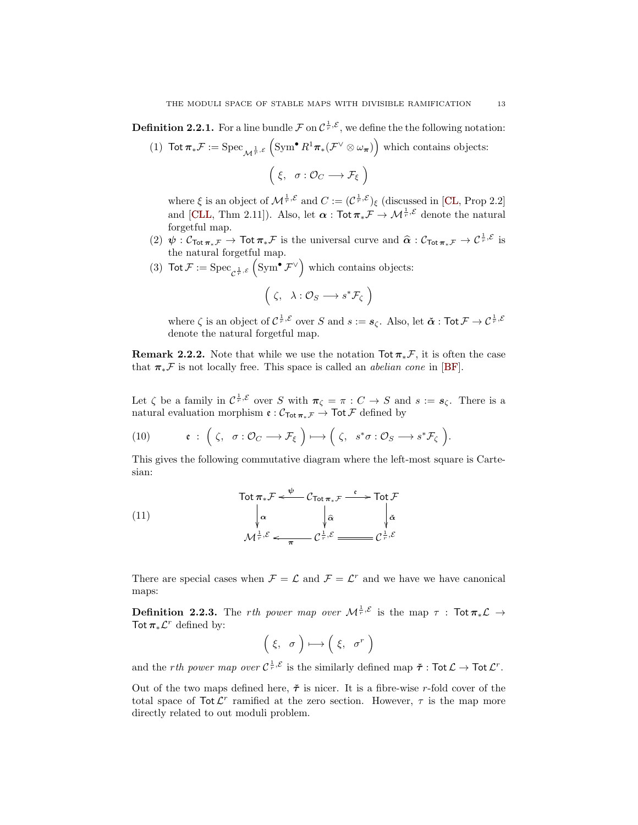<span id="page-12-0"></span>**Definition 2.2.1.** For a line bundle  $\mathcal{F}$  on  $C^{\frac{1}{r}, \mathcal{E}}$ , we define the the following notation:

(1) Tot  $\pi_*\mathcal{F} := \text{Spec}_{\mathcal{M}^{\frac{1}{r},\varepsilon}} \left( \text{Sym}^{\bullet} R^1 \pi_*(\mathcal{F}^{\vee} \otimes \omega_{\pi}) \right)$  which contains objects:  $(\xi, \sigma : \mathcal{O}_C \longrightarrow \mathcal{F}_{\xi})$ 

where  $\xi$  is an object of  $\mathcal{M}^{\frac{1}{r}, \mathcal{E}}$  and  $C := (\mathcal{C}^{\frac{1}{r}, \mathcal{E}})_{\xi}$  (discussed in [\[CL,](#page-27-22) Prop 2.2] and [\[CLL,](#page-27-23) Thm 2.11]). Also, let  $\alpha$  : Tot  $\pi_*\mathcal{F} \to \mathcal{M}^{\frac{1}{r}, \mathcal{E}}$  denote the natural forgetful map.

- (2)  $\psi : \mathcal{C}_{\text{Tot}} \pi_* \mathcal{F} \to \text{Tot} \pi_* \mathcal{F}$  is the universal curve and  $\hat{\alpha} : \mathcal{C}_{\text{Tot}} \pi_* \mathcal{F} \to \mathcal{C}^{\frac{1}{r}, \mathcal{E}}$  is the natural formative map the natural forgetful map.
- (3)  $\text{Tot } \mathcal{F} := \text{Spec}_{\mathcal{C}^{\frac{1}{r}, \mathcal{E}}} \left( \text{Sym}^{\bullet} \mathcal{F}^{\vee} \right)$  which contains objects:

$$
\left(\zeta, \lambda: \mathcal{O}_S \longrightarrow s^* \mathcal{F}_{\zeta}\right)
$$

where  $\zeta$  is an object of  $C^{\frac{1}{r}, \mathcal{E}}$  over S and  $s := s_{\zeta}$ . Also, let  $\check{\alpha}$  : Tot  $\mathcal{F} \to C^{\frac{1}{r}, \mathcal{E}}$ denote the natural forgetful map.

Remark 2.2.2. Note that while we use the notation  $\text{Tot } \pi_* \mathcal{F}$ , it is often the case that  $\pi_*\mathcal{F}$  is not locally free. This space is called an *abelian cone* in [\[BF\]](#page-27-24).

Let  $\zeta$  be a family in  $\mathcal{C}^{\frac{1}{r}, \mathcal{E}}$  over S with  $\pi_{\zeta} = \pi : C \to S$  and  $s := s_{\zeta}$ . There is a natural evaluation morphism  $\mathfrak{e} : \mathcal{C}_{\text{Tot}}_{\pi_*\mathcal{F}} \to \text{Tot } \mathcal{F}$  defined by

<span id="page-12-1"></span>(10) 
$$
\mathfrak{e} : (\zeta, \sigma : \mathcal{O}_C \longrightarrow \mathcal{F}_{\xi}) \longmapsto (\zeta, s^* \sigma : \mathcal{O}_S \longrightarrow s^* \mathcal{F}_{\zeta}).
$$

This gives the following commutative diagram where the left-most square is Cartesian:

(11)  
\n
$$
\begin{array}{ccc}\n\text{Tot } \pi_{*} \mathcal{F} \xleftarrow{\psi} \mathcal{C}_{\text{Tot } \pi_{*} \mathcal{F}} & \xrightarrow{\mathfrak{e}} \text{Tot } \mathcal{F} \\
\downarrow \alpha & \downarrow \widehat{\alpha} & \downarrow \widehat{\alpha} \\
\mathcal{M}^{\frac{1}{r}, \mathcal{E}} & \xleftarrow{\pi} \mathcal{C}^{\frac{1}{r}, \mathcal{E}} & \xrightarrow{\mathcal{C}^{\frac{1}{r}, \mathcal{E}}} \mathcal{C}^{\frac{1}{r}, \mathcal{E}}\n\end{array}
$$

There are special cases when  $\mathcal{F} = \mathcal{L}$  and  $\mathcal{F} = \mathcal{L}^r$  and we have we have canonical maps:

<span id="page-12-2"></span>**Definition 2.2.3.** The rth power map over  $\mathcal{M}^{\frac{1}{r},\mathcal{E}}$  is the map  $\tau$  : Tot  $\pi_*\mathcal{L} \to$ Tot  $\pi_* \mathcal{L}^r$  defined by:

$$
\left(\begin{array}{cc} \xi, & \sigma \end{array}\right) \longmapsto \left(\begin{array}{cc} \xi, & \sigma^r \end{array}\right)
$$

and the *rth power map over*  $C^{\frac{1}{r}, \mathcal{E}}$  is the similarly defined map  $\check{\tau}$ : Tot  $\mathcal{L} \to \text{Tot } \mathcal{L}^r$ .

Out of the two maps defined here,  $\tilde{\tau}$  is nicer. It is a fibre-wise r-fold cover of the total space of  $\text{Tot }\mathcal{L}^r$  ramified at the zero section. However,  $\tau$  is the map more directly related to out moduli problem.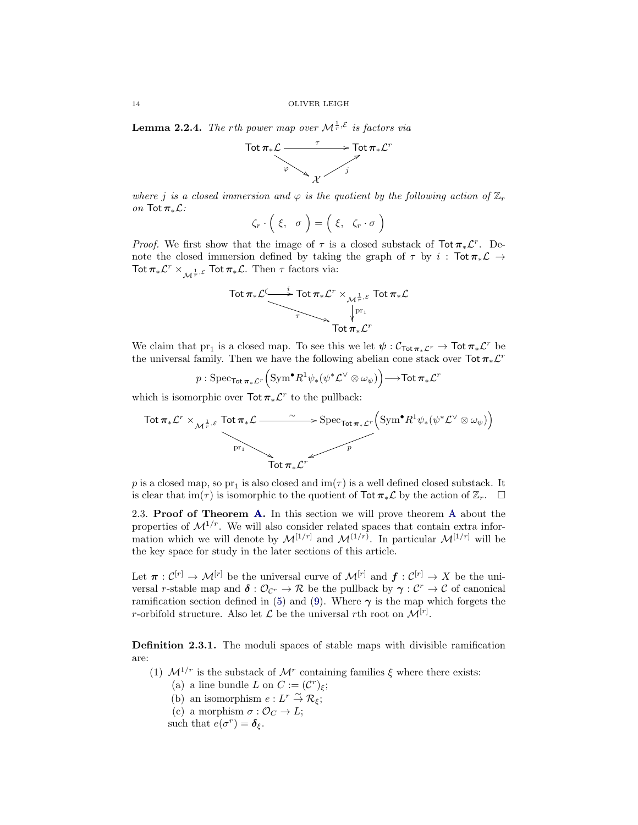<span id="page-13-2"></span>**Lemma 2.2.4.** The rth power map over  $\mathcal{M}^{\frac{1}{r}, \mathcal{E}}$  is factors via



where j is a closed immersion and  $\varphi$  is the quotient by the following action of  $\mathbb{Z}_r$ on Tot  $\pi_*\mathcal{L}$ :

$$
\zeta_r \cdot \left( \xi, \sigma \right) = \left( \xi, \zeta_r \cdot \sigma \right)
$$

*Proof.* We first show that the image of  $\tau$  is a closed substack of Tot  $\pi_* \mathcal{L}^r$ . Denote the closed immersion defined by taking the graph of  $\tau$  by  $i$  : Tot  $\pi_*\mathcal{L} \rightarrow$ Tot  $\pi_*\mathcal{L}^r \times_{\mathcal{M}^{\frac{1}{r}, \mathcal{E}}}$  Tot  $\pi_*\mathcal{L}$ . Then  $\tau$  factors via:



We claim that  $pr_1$  is a closed map. To see this we let  $\psi: \mathcal{C}_{\text{Tot}\pi_*\mathcal{L}^r} \to \text{Tot}\pi_*\mathcal{L}^r$  be the universal family. Then we have the following abelian cone stack over  $\text{Tot }\pi_{*}\mathcal{L}^{r}$ 

 $p: \mathrm{Spec}_{\mathsf{Tot}\,\bm\pi_*\mathcal{L}^r} \Big( \mathrm{Sym}^\bullet R^1\psi_*(\psi^*\mathcal{L}^\vee \otimes \omega_\psi) \Big) {\longrightarrow} \mathsf{Tot}\,\bm\pi_*\mathcal{L}^r$ 

which is isomorphic over  $\text{Tot } \pi_* \mathcal{L}^r$  to the pullback:

$$
\text{Tot } \pi_* \mathcal{L}^r \times_{\mathcal{M}^{\frac{1}{r}, \mathcal{E}}} \text{Tot } \pi_* \mathcal{L} \longrightarrow \text{Spec}_{\text{Tot } \pi_* \mathcal{L}^r} \left( \text{Sym}^{\bullet} R^1 \psi_*(\psi^* \mathcal{L}^{\vee} \otimes \omega_{\psi}) \right)
$$
\n
$$
\text{Tot } \pi_* \mathcal{L}^r
$$

 $p$  is a closed map, so  $\mathrm{pr}_1$  is also closed and  $\mathrm{im}(\tau)$  is a well defined closed substack. It is clear that im( $\tau$ ) is isomorphic to the quotient of Tot  $\pi_*\mathcal{L}$  by the action of  $\mathbb{Z}_r$ .  $\Box$ 

2.3. Proof of Theorem [A.](#page-1-2) In this section we will prove theorem [A](#page-1-2) about the properties of  $\mathcal{M}^{1/r}$ . We will also consider related spaces that contain extra information which we will denote by  $\mathcal{M}^{[1/r]}$  and  $\mathcal{M}^{(1/r)}$ . In particular  $\mathcal{M}^{[1/r]}$  will be the key space for study in the later sections of this article.

Let  $\pi: \mathcal{C}^{[r]} \to \mathcal{M}^{[r]}$  be the universal curve of  $\mathcal{M}^{[r]}$  and  $\mathbf{f}: \mathcal{C}^{[r]} \to X$  be the universal r-stable map and  $\delta: \mathcal{O}_{\mathcal{C}^r} \to \mathcal{R}$  be the pullback by  $\gamma: \mathcal{C}^r \to \mathcal{C}$  of canonical ramification section defined in [\(5\)](#page-6-1) and [\(9\)](#page-8-1). Where  $\gamma$  is the map which forgets the r-orbifold structure. Also let  $\mathcal L$  be the universal rth root on  $\mathcal M^{[r]}$ .

<span id="page-13-0"></span>Definition 2.3.1. The moduli spaces of stable maps with divisible ramification are:

- <span id="page-13-1"></span>(1)  $\mathcal{M}^{1/r}$  is the substack of  $\mathcal{M}^r$  containing families  $\xi$  where there exists:
	- (a) a line bundle L on  $C := (\mathcal{C}^r)_{\xi};$
	- (b) an isomorphism  $e: L^r \overset{\sim}{\to} \mathcal{R}_{\xi};$
	- (c) a morphism  $\sigma : \mathcal{O}_C \to L$ ;

such that  $e(\sigma^r) = \delta_{\xi}$ .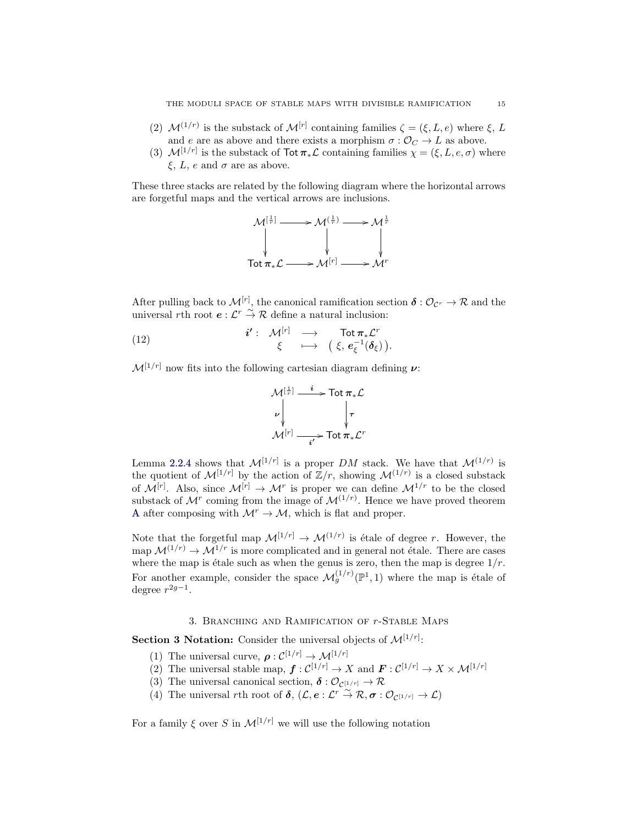- (2)  $\mathcal{M}^{(1/r)}$  is the substack of  $\mathcal{M}^{[r]}$  containing families  $\zeta = (\xi, L, e)$  where  $\xi, L$ and e are as above and there exists a morphism  $\sigma : \mathcal{O}_C \to L$  as above.
- <span id="page-14-1"></span>(3)  $\mathcal{M}^{[1/r]}$  is the substack of Tot  $\pi_* \mathcal{L}$  containing families  $\chi = (\xi, L, e, \sigma)$  where  $\xi$ , L, e and  $\sigma$  are as above.

These three stacks are related by the following diagram where the horizontal arrows are forgetful maps and the vertical arrows are inclusions.



After pulling back to  $\mathcal{M}^{[r]}$ , the canonical ramification section  $\boldsymbol{\delta} : \mathcal{O}_{\mathcal{C}^r} \to \mathcal{R}$  and the universal rth root  $e: \mathcal{L}^r \overset{\sim}{\to} \mathcal{R}$  define a natural inclusion:

<span id="page-14-2"></span>(12) 
$$
\begin{array}{rcl}\n\mathbf{i'}: & \mathcal{M}^{[r]} & \longrightarrow & \operatorname{Tot} \pi_* \mathcal{L}^r \\
& \xi & \longmapsto & \left(\xi, e_{\xi}^{-1}(\delta_{\xi})\right).\n\end{array}
$$

 $\mathcal{M}^{[1/r]}$  now fits into the following cartesian diagram defining  $\nu$ :



Lemma [2.2.4](#page-13-2) shows that  $\mathcal{M}^{[1/r]}$  is a proper DM stack. We have that  $\mathcal{M}^{(1/r)}$  is the quotient of  $\mathcal{M}^{[1/r]}$  by the action of  $\mathbb{Z}/r$ , showing  $\mathcal{M}^{(1/r)}$  is a closed substack of  $\mathcal{M}^{[r]}$ . Also, since  $\mathcal{M}^{[r]} \to \mathcal{M}^r$  is proper we can define  $\mathcal{M}^{1/r}$  to be the closed substack of  $\mathcal{M}^r$  coming from the image of  $\mathcal{M}^{(1/r)}$ . Hence we have proved theorem [A](#page-1-2) after composing with  $\mathcal{M}^r \to \mathcal{M}$ , which is flat and proper.

Note that the forgetful map  $\mathcal{M}^{[1/r]} \to \mathcal{M}^{(1/r)}$  is étale of degree r. However, the map  $\mathcal{M}^{(1/r)} \to \mathcal{M}^{1/r}$  is more complicated and in general not étale. There are cases where the map is étale such as when the genus is zero, then the map is degree  $1/r$ . For another example, consider the space  $\mathcal{M}_g^{(1/r)}(\mathbb{P}^1,1)$  where the map is étale of degree  $r^{2g-1}$ .

## 3. Branching and Ramification of r-Stable Maps

<span id="page-14-0"></span>**Section 3 Notation:** Consider the universal objects of  $\mathcal{M}^{[1/r]}$ :

- (1) The universal curve,  $\rho: \mathcal{C}^{[1/r]} \to \mathcal{M}^{[1/r]}$
- (2) The universal stable map,  $\boldsymbol{f}: C^{[1/r]} \to X$  and  $\boldsymbol{F}: C^{[1/r]} \to X \times \mathcal{M}^{[1/r]}$
- (3) The universal canonical section,  $\delta: \mathcal{O}_{\mathcal{C}^{[1/r]}} \to \mathcal{R}$
- (4) The universal rth root of  $\delta$ ,  $(\mathcal{L}, e : \mathcal{L}^r \overset{\sim}{\to} \mathcal{R}, \sigma : \mathcal{O}_{\mathcal{C}^{[1/r]}} \to \mathcal{L})$

For a family  $\xi$  over S in  $\mathcal{M}^{[1/r]}$  we will use the following notation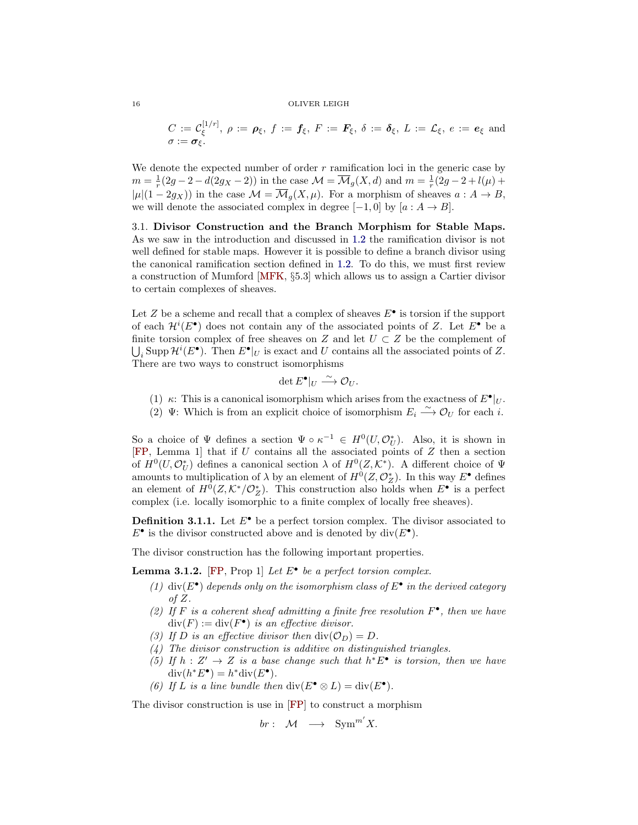$$
C := \mathcal{C}_{\xi}^{[1/r]}, \ \rho := \rho_{\xi}, \ f := f_{\xi}, \ F := F_{\xi}, \ \delta := \delta_{\xi}, \ L := \mathcal{L}_{\xi}, \ e := e_{\xi} \ \text{and}
$$
  

$$
\sigma := \sigma_{\xi}.
$$

We denote the expected number of order  $r$  ramification loci in the generic case by  $m = \frac{1}{r}(2g - 2 - d(2g_X - 2))$  in the case  $\mathcal{M} = \overline{\mathcal{M}}_g(X, d)$  and  $m = \frac{1}{r}(2g - 2 + l(\mu) +$  $|\mu|(1-2g_X)$  in the case  $\mathcal{M} = \overline{\mathcal{M}}_g(X,\mu)$ . For a morphism of sheaves  $a: A \to B$ , we will denote the associated complex in degree  $[-1, 0]$  by  $[a : A \rightarrow B]$ .

3.1. Divisor Construction and the Branch Morphism for Stable Maps. As we saw in the introduction and discussed in [1.2](#page-6-2) the ramification divisor is not well defined for stable maps. However it is possible to define a branch divisor using the canonical ramification section defined in [1.2.](#page-6-2) To do this, we must first review a construction of Mumford [\[MFK,](#page-27-25) §5.3] which allows us to assign a Cartier divisor to certain complexes of sheaves.

Let  $Z$  be a scheme and recall that a complex of sheaves  $E^{\bullet}$  is torsion if the support of each  $\mathcal{H}^i(E^{\bullet})$  does not contain any of the associated points of Z. Let  $E^{\bullet}$  be a finite torsion complex of free sheaves on Z and let  $U \subset Z$  be the complement of  $\bigcup_i$  Supp  $\mathcal{H}^i(E^{\bullet})$ . Then  $E^{\bullet}|_U$  is exact and U contains all the associated points of Z. There are two ways to construct isomorphisms

$$
\det E^{\bullet}|_{U} \xrightarrow{\sim} \mathcal{O}_{U}.
$$

- (1)  $\kappa$ : This is a canonical isomorphism which arises from the exactness of  $E^{\bullet}|_U$ .
- (2)  $\Psi$ : Which is from an explicit choice of isomorphism  $E_i \stackrel{\sim}{\longrightarrow} \mathcal{O}_U$  for each i.

So a choice of  $\Psi$  defines a section  $\Psi \circ \kappa^{-1} \in H^0(U, \mathcal{O}_U^*)$ . Also, it is shown in [\[FP,](#page-27-4) Lemma 1] that if U contains all the associated points of Z then a section of  $H^0(U, \mathcal{O}_U^*)$  defines a canonical section  $\lambda$  of  $H^0(Z, \mathcal{K}^*)$ . A different choice of  $\Psi$ amounts to multiplication of  $\lambda$  by an element of  $H^0(Z, \mathcal{O}_Z^*)$ . In this way  $E^{\bullet}$  defines an element of  $H^0(Z, \mathcal{K}^*/\mathcal{O}_Z^*)$ . This construction also holds when  $E^{\bullet}$  is a perfect complex (i.e. locally isomorphic to a finite complex of locally free sheaves).

**Definition 3.1.1.** Let  $E^{\bullet}$  be a perfect torsion complex. The divisor associated to  $E^{\bullet}$  is the divisor constructed above and is denoted by div( $E^{\bullet}$ ).

The divisor construction has the following important properties.

**Lemma 3.1.2.** [\[FP,](#page-27-4) Prop 1] Let  $E^{\bullet}$  be a perfect torsion complex.

- (1)  $div(E^{\bullet})$  depends only on the isomorphism class of  $E^{\bullet}$  in the derived category of  $Z$ .
- (2) If F is a coherent sheaf admitting a finite free resolution  $F^{\bullet}$ , then we have  $\text{div}(F) := \text{div}(F^{\bullet})$  is an effective divisor.
- (3) If D is an effective divisor then  $div(\mathcal{O}_D) = D$ .
- (4) The divisor construction is additive on distinguished triangles.
- (5) If  $h: Z' \to Z$  is a base change such that  $h^*E^{\bullet}$  is torsion, then we have  $\mathrm{div}(h^*E^{\bullet})=h^*\mathrm{div}(E^{\bullet}).$
- (6) If L is a line bundle then  $\text{div}(E^{\bullet} \otimes L) = \text{div}(E^{\bullet}).$

The divisor construction is use in [\[FP\]](#page-27-4) to construct a morphism

$$
br: M \longrightarrow \text{Sym}^{m'}X.
$$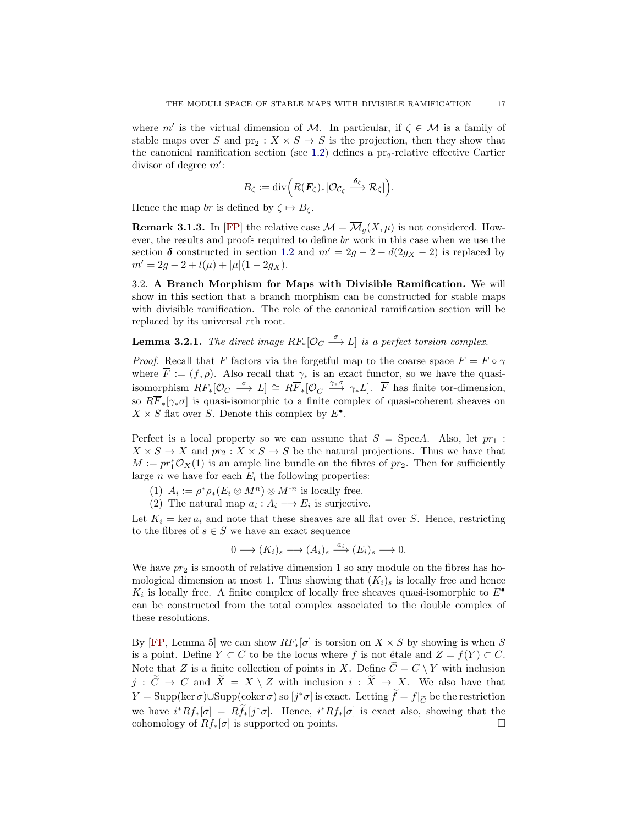where m' is the virtual dimension of M. In particular, if  $\zeta \in \mathcal{M}$  is a family of stable maps over S and  $pr_2: X \times S \to S$  is the projection, then they show that the canonical ramification section (see [1.2\)](#page-6-2) defines a  $pr_2$ -relative effective Cartier divisor of degree  $m'$ :

$$
B_{\zeta} := \mathrm{div}\Big(R(\boldsymbol{F}_{\zeta})_*[\mathcal{O}_{\mathcal{C}_{\zeta}} \xrightarrow{\boldsymbol{\delta}_{\zeta}} \overline{\mathcal{R}}_{\zeta}]\Big).
$$

Hence the map br is defined by  $\zeta \mapsto B_{\zeta}$ .

**Remark 3.1.3.** In [\[FP\]](#page-27-4) the relative case  $\mathcal{M} = \overline{\mathcal{M}}_q(X,\mu)$  is not considered. However, the results and proofs required to define br work in this case when we use the section  $\delta$  constructed in section [1.2](#page-6-2) and  $m' = 2g - 2 - d(2g_X - 2)$  is replaced by  $m' = 2g - 2 + l(\mu) + |\mu|(1 - 2g_X).$ 

3.2. A Branch Morphism for Maps with Divisible Ramification. We will show in this section that a branch morphism can be constructed for stable maps with divisible ramification. The role of the canonical ramification section will be replaced by its universal rth root.

# **Lemma 3.2.1.** The direct image  $RF_*[\mathcal{O}_C \stackrel{\sigma}{\longrightarrow} L]$  is a perfect torsion complex.

*Proof.* Recall that F factors via the forgetful map to the coarse space  $F = \overline{F} \circ \gamma$ where  $\overline{F} := (\overline{f}, \overline{\rho})$ . Also recall that  $\gamma_*$  is an exact functor, so we have the quasiisomorphism  $RF_*[O_C \stackrel{\sigma}{\longrightarrow} L] \cong R\overline{F}_*[O_{\overline{C}} \stackrel{\gamma_*\sigma}{\longrightarrow} \gamma_*L]$ .  $\overline{F}$  has finite tor-dimension, so  $R\overline{F}_*[\gamma_*\sigma]$  is quasi-isomorphic to a finite complex of quasi-coherent sheaves on  $X \times S$  flat over S. Denote this complex by  $E^{\bullet}$ .

Perfect is a local property so we can assume that  $S = \text{Spec} A$ . Also, let  $pr_1$ :  $X \times S \to X$  and  $pr_2: X \times S \to S$  be the natural projections. Thus we have that  $M := pr_1^* \mathcal{O}_X(1)$  is an ample line bundle on the fibres of  $pr_2$ . Then for sufficiently large *n* we have for each  $E_i$  the following properties:

- (1)  $A_i := \rho^* \rho_* (E_i \otimes M^n) \otimes M^{-n}$  is locally free.
- (2) The natural map  $a_i : A_i \longrightarrow E_i$  is surjective.

Let  $K_i = \text{ker } a_i$  and note that these sheaves are all flat over S. Hence, restricting to the fibres of  $s \in S$  we have an exact sequence

$$
0 \longrightarrow (K_i)_s \longrightarrow (A_i)_s \stackrel{a_i}{\longrightarrow} (E_i)_s \longrightarrow 0.
$$

We have  $pr_2$  is smooth of relative dimension 1 so any module on the fibres has homological dimension at most 1. Thus showing that  $(K_i)_s$  is locally free and hence  $K_i$  is locally free. A finite complex of locally free sheaves quasi-isomorphic to  $E^{\bullet}$ can be constructed from the total complex associated to the double complex of these resolutions.

By [\[FP,](#page-27-4) Lemma 5] we can show  $RF_*[\sigma]$  is torsion on  $X \times S$  by showing is when S is a point. Define  $Y \subset C$  to be the locus where f is not étale and  $Z = f(Y) \subset C$ . Note that Z is a finite collection of points in X. Define  $\widetilde{C} = C \setminus Y$  with inclusion  $j : \widetilde{C} \to C$  and  $\widetilde{X} = X \setminus Z$  with inclusion  $i : \widetilde{X} \to X$ . We also have that  $Y = \text{Supp}(\ker \sigma) \cup \text{Supp}(\text{coker}\,\sigma)$  so  $[j^*\sigma]$  is exact. Letting  $\tilde{f} = f|_{\tilde{C}}$  be the restriction we have  $i^*Rf_*[\sigma] = R\tilde{f}_*[j^*\sigma]$ . Hence,  $i^*Rf_*[\sigma]$  is exact also, showing that the cohomology of  $Rf_*[\sigma]$  is supported on points.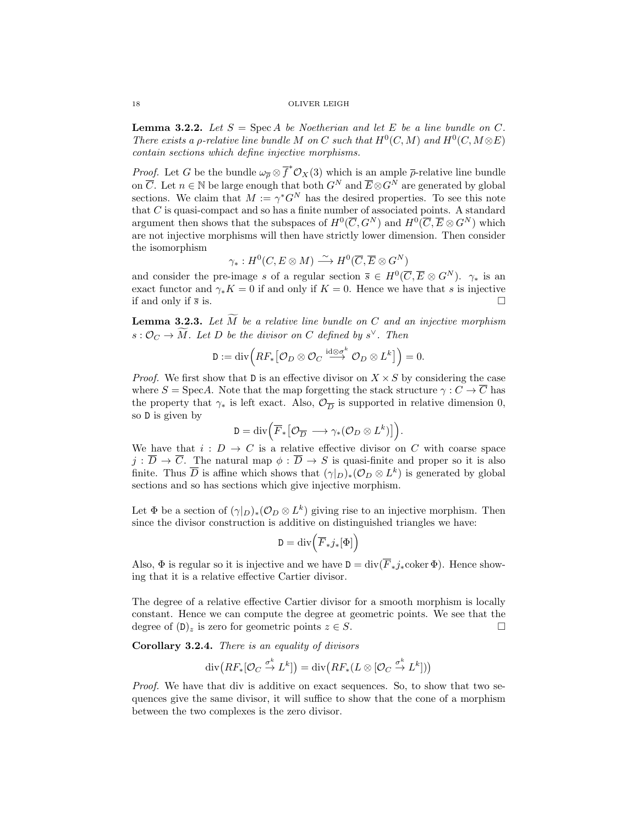<span id="page-17-0"></span>**Lemma 3.2.2.** Let  $S = \text{Spec } A$  be Noetherian and let E be a line bundle on C. There exists a  $\rho$ -relative line bundle M on C such that  $H^0(C, M)$  and  $H^0(C, M \otimes E)$ contain sections which define injective morphisms.

*Proof.* Let G be the bundle  $\omega_{\overline{\rho}} \otimes \overline{f}^* \mathcal{O}_X(3)$  which is an ample  $\overline{\rho}$ -relative line bundle on  $\overline{C}$ . Let  $n \in \mathbb{N}$  be large enough that both  $G^N$  and  $\overline{E} \otimes G^N$  are generated by global sections. We claim that  $M := \gamma^* G^N$  has the desired properties. To see this note that C is quasi-compact and so has a finite number of associated points. A standard argument then shows that the subspaces of  $H^0(\overline{C}, G^N)$  and  $H^0(\overline{C}, \overline{E} \otimes G^N)$  which are not injective morphisms will then have strictly lower dimension. Then consider the isomorphism

$$
\gamma_*: H^0(C, E \otimes M) \xrightarrow{\sim} H^0(\overline{C}, \overline{E} \otimes G^N)
$$

and consider the pre-image s of a regular section  $\overline{s} \in H^0(\overline{C}, \overline{E} \otimes G^N)$ .  $\gamma_*$  is an exact functor and  $\gamma_* K = 0$  if and only if  $K = 0$ . Hence we have that s is injective if and only if  $\bar{s}$  is.

<span id="page-17-1"></span>**Lemma 3.2.3.** Let  $\widetilde{M}$  be a relative line bundle on C and an injective morphism  $s: \mathcal{O}_C \to \tilde{M}$ . Let D be the divisor on C defined by  $s^{\vee}$ . Then

$$
\mathsf{D}:=\text{div}\Big(RF_*\big[\mathcal{O}_D\otimes\mathcal{O}_C\stackrel{\text{id}\otimes\sigma^k}{\longrightarrow}\mathcal{O}_D\otimes L^k\big]\Big)=0.
$$

*Proof.* We first show that  $D$  is an effective divisor on  $X \times S$  by considering the case where  $S = \text{Spec} A$ . Note that the map forgetting the stack structure  $\gamma : C \to \overline{C}$  has the property that  $\gamma_*$  is left exact. Also,  $\mathcal{O}_{\overline{D}}$  is supported in relative dimension 0, so D is given by

$$
\mathsf{D}=\text{div}\Big(\overline F_\ast\big[\mathcal{O}_{\overline D}\longrightarrow \gamma_\ast(\mathcal{O}_D\otimes L^k)\big]\Big).
$$

We have that  $i: D \to C$  is a relative effective divisor on C with coarse space  $j : \overline{D} \to \overline{C}$ . The natural map  $\phi : \overline{D} \to S$  is quasi-finite and proper so it is also finite. Thus  $\overline{D}$  is affine which shows that  $(\gamma|_D)_*(\mathcal{O}_D \otimes L^k)$  is generated by global sections and so has sections which give injective morphism.

Let  $\Phi$  be a section of  $(\gamma|_D)_*(\mathcal{O}_D \otimes L^k)$  giving rise to an injective morphism. Then since the divisor construction is additive on distinguished triangles we have:

$$
\mathbf{D} = \mathrm{div} \Big( \overline{F}_* j_* [\Phi] \Big)
$$

Also,  $\Phi$  is regular so it is injective and we have  $D = \text{div}(\overline{F}_*j_*\text{coker}\,\Phi)$ . Hence showing that it is a relative effective Cartier divisor.

The degree of a relative effective Cartier divisor for a smooth morphism is locally constant. Hence we can compute the degree at geometric points. We see that the degree of  $(D)$ , is zero for geometric points  $z \in S$ .

<span id="page-17-2"></span>Corollary 3.2.4. There is an equality of divisors

$$
\operatorname{div}\big(RF_*[\mathcal{O}_C \xrightarrow{\sigma^k} L^k]\big) = \operatorname{div}\big(RF_*(L \otimes [\mathcal{O}_C \xrightarrow{\sigma^k} L^k])\big)
$$

Proof. We have that div is additive on exact sequences. So, to show that two sequences give the same divisor, it will suffice to show that the cone of a morphism between the two complexes is the zero divisor.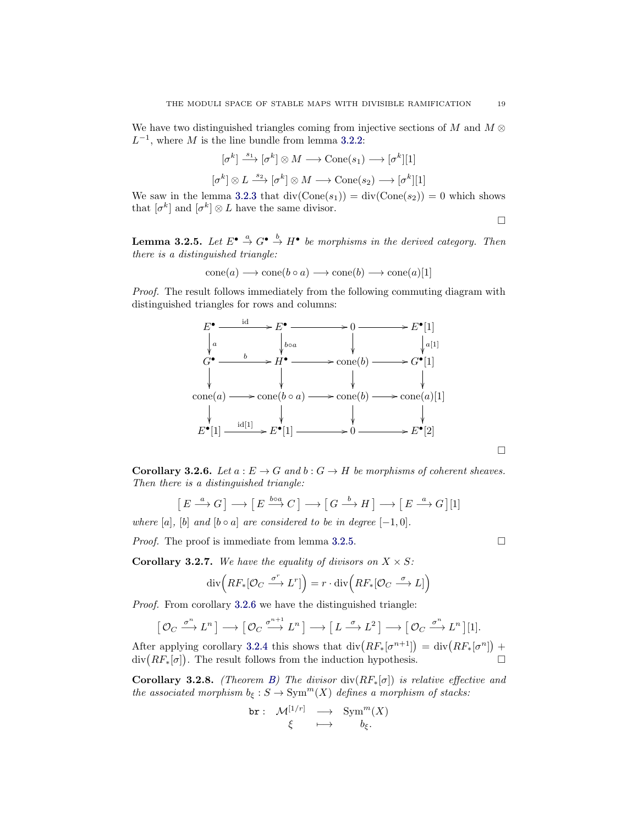We have two distinguished triangles coming from injective sections of M and  $M \otimes$  $L^{-1}$ , where M is the line bundle from lemma [3.2.2:](#page-17-0)

$$
[\sigma^k] \xrightarrow{s_1} [\sigma^k] \otimes M \longrightarrow \text{Cone}(s_1) \longrightarrow [\sigma^k][1]
$$

$$
[\sigma^k] \otimes L \xrightarrow{s_2} [\sigma^k] \otimes M \longrightarrow \text{Cone}(s_2) \longrightarrow [\sigma^k][1]
$$

We saw in the lemma [3.2.3](#page-17-1) that  $div(Cone(s_1)) = div(Cone(s_2)) = 0$  which shows that  $[\sigma^k]$  and  $[\sigma^k] \otimes L$  have the same divisor.

 $\Box$ 

<span id="page-18-0"></span>**Lemma 3.2.5.** Let  $E^{\bullet} \stackrel{a}{\rightarrow} G^{\bullet} \stackrel{b}{\rightarrow} H^{\bullet}$  be morphisms in the derived category. Then there is a distinguished triangle:

$$
cone(a) \longrightarrow cone(b \circ a) \longrightarrow cone(b) \longrightarrow cone(a)[1]
$$

Proof. The result follows immediately from the following commuting diagram with distinguished triangles for rows and columns:



<span id="page-18-1"></span>**Corollary 3.2.6.** Let  $a : E \to G$  and  $b : G \to H$  be morphisms of coherent sheaves. Then there is a distinguished triangle:

$$
[E \xrightarrow{a} G] \longrightarrow [E \xrightarrow{b \circ a} C] \longrightarrow [G \xrightarrow{b} H] \longrightarrow [E \xrightarrow{a} G][1]
$$

where [a], [b] and [b  $\circ$  a] are considered to be in degree [-1,0].

*Proof.* The proof is immediate from lemma [3.2.5.](#page-18-0)

<span id="page-18-2"></span>**Corollary 3.2.7.** We have the equality of divisors on  $X \times S$ :

$$
\operatorname{div}\left(RF_*[\mathcal{O}_C \xrightarrow{\sigma^r} L^r]\right) = r \cdot \operatorname{div}\left(RF_*[\mathcal{O}_C \xrightarrow{\sigma} L]\right)
$$

Proof. From corollary [3.2.6](#page-18-1) we have the distinguished triangle:

$$
\left[\mathcal{O}_C \xrightarrow{\sigma^n} L^n\right] \longrightarrow \left[\mathcal{O}_C \xrightarrow{\sigma^{n+1}} L^n\right] \longrightarrow \left[L \xrightarrow{\sigma} L^2\right] \longrightarrow \left[\mathcal{O}_C \xrightarrow{\sigma^n} L^n\right][1].
$$

After applying corollary [3.2.4](#page-17-2) this shows that  $\text{div}\left(RF_*[\sigma^{n+1}]\right) = \text{div}\left(RF_*[\sigma^n]\right) +$  $\text{div}(RF_*[\sigma])$ . The result follows from the induction hypothesis.

**Corollary 3.2.8.** (Theorem [B\)](#page-2-0) The divisor div( $RF_*[\sigma]$ ) is relative effective and the associated morphism  $b_{\xi}: S \to \text{Sym}^m(X)$  defines a morphism of stacks:

$$
\begin{array}{cccc}\n\texttt{br}: & \mathcal{M}^{[1/r]} & \longrightarrow & \texttt{Sym}^m(X) \\
\xi & \longmapsto & b_{\xi}.\n\end{array}
$$

 $\Box$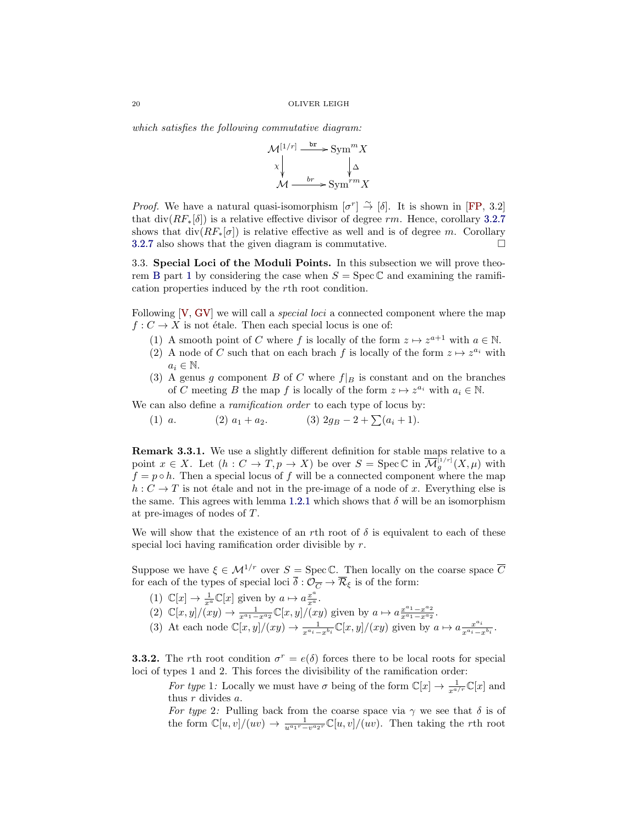which satisfies the following commutative diagram:



*Proof.* We have a natural quasi-isomorphism  $[\sigma^r] \stackrel{\sim}{\to} [\delta]$ . It is shown in [\[FP,](#page-27-4) 3.2] that div( $RF_*[\delta]$ ) is a relative effective divisor of degree rm. Hence, corollary [3.2.7](#page-18-2) shows that  $div(RF_*[\sigma])$  is relative effective as well and is of degree m. Corollary [3.2.7](#page-18-2) also shows that the given diagram is commutative.  $\Box$ 

3.3. Special Loci of the Moduli Points. In this subsection we will prove theo-rem [B](#page-2-0) part [1](#page-2-1) by considering the case when  $S = \text{Spec } \mathbb{C}$  and examining the ramification properties induced by the rth root condition.

Following [\[V,](#page-28-0) [GV\]](#page-27-3) we will call a *special loci* a connected component where the map  $f: C \to X$  is not étale. Then each special locus is one of:

- (1) A smooth point of C where f is locally of the form  $z \mapsto z^{a+1}$  with  $a \in \mathbb{N}$ .
- (2) A node of C such that on each brach f is locally of the form  $z \mapsto z^{a_i}$  with  $a_i \in \mathbb{N}$ .
- (3) A genus g component B of C where  $f|_B$  is constant and on the branches of C meeting B the map f is locally of the form  $z \mapsto z^{a_i}$  with  $a_i \in \mathbb{N}$ .

We can also define a *ramification order* to each type of locus by:

(1) *a*.   
 (2) 
$$
a_1 + a_2
$$
.   
 (3)  $2g_B - 2 + \sum (a_i + 1)$ .

<span id="page-19-0"></span>Remark 3.3.1. We use a slightly different definition for stable maps relative to a point  $x \in X$ . Let  $(h: C \to T, p \to X)$  be over  $S = \operatorname{Spec} \mathbb{C}$  in  $\overline{\mathcal{M}}_g^{[1/r]}(X, \mu)$  with  $f = p \circ h$ . Then a special locus of f will be a connected component where the map  $h: C \to T$  is not étale and not in the pre-image of a node of x. Everything else is the same. This agrees with lemma [1.2.1](#page-7-0) which shows that  $\delta$  will be an isomorphism at pre-images of nodes of T.

We will show that the existence of an rth root of  $\delta$  is equivalent to each of these special loci having ramification order divisible by r.

Suppose we have  $\xi \in \mathcal{M}^{1/r}$  over  $S = \text{Spec } \mathbb{C}$ . Then locally on the coarse space  $\overline{C}$ for each of the types of special loci  $\overline{\delta}: \mathcal{O}_{\overline{C}} \to \overline{\mathcal{R}}_{\xi}$  is of the form:

- (1)  $\mathbb{C}[x] \to \frac{1}{x^a} \mathbb{C}[x]$  given by  $a \mapsto a \frac{x^a}{x^a}$ .
- (2)  $\mathbb{C}[x,y]/(xy) \to \frac{1}{x^{a_1}-x^{a_2}} \mathbb{C}[x,y]/(xy)$  given by  $a \mapsto a \frac{x^{a_1}-x^{a_2}}{x^{a_1}-x^{a_2}}$  $\frac{x^{a_1}-x^{a_2}}{x^{a_1}-x^{a_2}}.$
- (3) At each node  $\mathbb{C}[x,y]/(xy) \to \frac{1}{x^{a_i}-x^{b_i}}\mathbb{C}[x,y]/(xy)$  given by  $a \mapsto a \frac{x^{a_i}}{x^{a_i}-x^{b_i}}$  $\frac{x^{a_i}}{x^{a_i}-x^{b_i}}$ .

<span id="page-19-1"></span>**3.3.2.** The rth root condition  $\sigma^r = e(\delta)$  forces there to be local roots for special loci of types 1 and 2. This forces the divisibility of the ramification order:

For type 1: Locally we must have  $\sigma$  being of the form  $\mathbb{C}[x] \to \frac{1}{x^{a/r}} \mathbb{C}[x]$  and thus  $r$  divides  $a$ .

For type 2: Pulling back from the coarse space via  $\gamma$  we see that  $\delta$  is of the form  $\mathbb{C}[u, v]/(uv) \to \frac{1}{u^{a_1r} - v^{a_2r}} \mathbb{C}[u, v]/(uv)$ . Then taking the rth root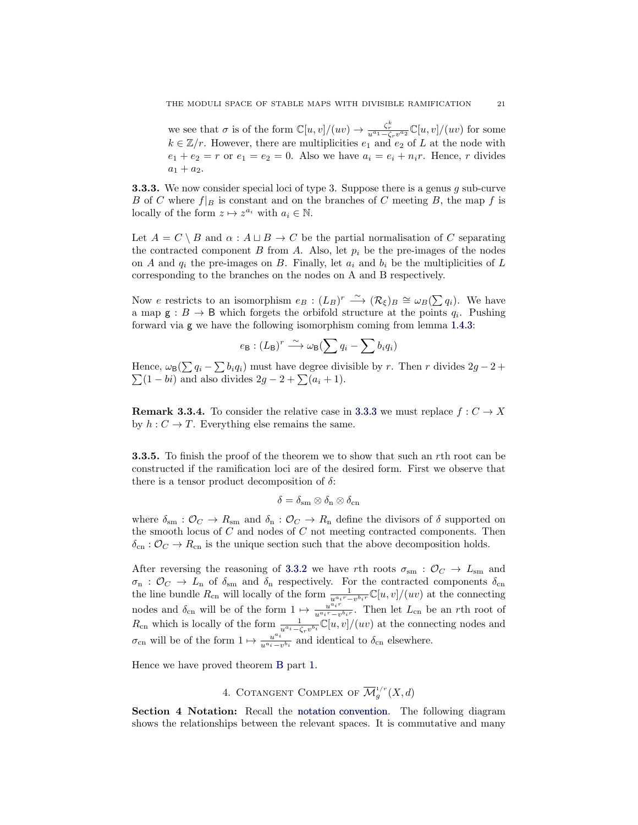we see that  $\sigma$  is of the form  $\mathbb{C}[u, v]/(uv) \to \frac{\zeta_r^k}{u^{a_1} - \zeta_r v^{a_2}} \mathbb{C}[u, v]/(uv)$  for some  $k \in \mathbb{Z}/r$ . However, there are multiplicities  $e_1$  and  $e_2$  of L at the node with  $e_1 + e_2 = r$  or  $e_1 = e_2 = 0$ . Also we have  $a_i = e_i + n_i r$ . Hence, r divides  $a_1 + a_2.$ 

<span id="page-20-1"></span>**3.3.3.** We now consider special loci of type 3. Suppose there is a genus  $g$  sub-curve B of C where  $f|_B$  is constant and on the branches of C meeting B, the map f is locally of the form  $z \mapsto z^{a_i}$  with  $a_i \in \mathbb{N}$ .

Let  $A = C \setminus B$  and  $\alpha : A \sqcup B \to C$  be the partial normalisation of C separating the contracted component B from A. Also, let  $p_i$  be the pre-images of the nodes on A and  $q_i$  the pre-images on B. Finally, let  $a_i$  and  $b_i$  be the multiplicities of L corresponding to the branches on the nodes on A and B respectively.

Now e restricts to an isomorphism  $e_B: (L_B)^r \longrightarrow (\mathcal{R}_{\xi})_B \cong \omega_B(\sum q_i)$ . We have a map  $\mathsf{g}: B \to \mathsf{B}$  which forgets the orbifold structure at the points  $q_i$ . Pushing forward via g we have the following isomorphism coming from lemma [1.4.3:](#page-10-1)

$$
e_{\mathsf{B}}: (L_{\mathsf{B}})^r \longrightarrow \omega_{\mathsf{B}}(\sum q_i - \sum b_i q_i)
$$

Hence,  $\omega_{\mathsf{B}}(\sum q_i - \sum b_i q_i)$  must have degree divisible by r. Then r divides  $2g - 2 +$  $\sum(1 - bi)$  and also divides  $2g - 2 + \sum(a_i + 1)$ .

**Remark 3.3.4.** To consider the relative case in [3.3.3](#page-20-1) we must replace  $f: C \to X$ by  $h: C \to T$ . Everything else remains the same.

**3.3.5.** To finish the proof of the theorem we to show that such an rth root can be constructed if the ramification loci are of the desired form. First we observe that there is a tensor product decomposition of  $\delta$ :

$$
\delta=\delta_{\rm sm}\otimes\delta_{\rm n}\otimes\delta_{\rm cn}
$$

where  $\delta_{\rm sm} : \mathcal{O}_C \to R_{\rm sm}$  and  $\delta_{\rm n} : \mathcal{O}_C \to R_{\rm n}$  define the divisors of  $\delta$  supported on the smooth locus of  $C$  and nodes of  $C$  not meeting contracted components. Then  $\delta_{\rm cn}$ :  $\mathcal{O}_C \to R_{\rm cn}$  is the unique section such that the above decomposition holds.

After reversing the reasoning of [3.3.2](#page-19-1) we have rth roots  $\sigma_{\rm sm}$ :  $\mathcal{O}_C \rightarrow L_{\rm sm}$  and  $\sigma_{\rm n}$  :  $\mathcal{O}_C \to L_{\rm n}$  of  $\delta_{\rm sm}$  and  $\delta_{\rm n}$  respectively. For the contracted components  $\delta_{\rm cn}$ the line bundle  $R_{cn}$  will locally of the form  $\frac{1}{u^{a_i r} - v^{b_i r}} \mathbb{C}[u, v]/(uv)$  at the connecting nodes and  $\delta_{\rm cn}$  will be of the form  $1 \mapsto \frac{u^{\bar{a}_i r}}{u^{\bar{a}_i r} - v}$  $\frac{u^{a}i^{r}}{u^{a}i^{r}-v^{b}i^{r}}$ . Then let  $L_{cn}$  be an rth root of  $R_{\text{cn}}$  which is locally of the form  $\frac{1}{u^{a_i} - \zeta_r v^{b_i}} \mathbb{C}[u, v]/(uv)$  at the connecting nodes and  $\sigma_{\rm cn}$  will be of the form  $1 \mapsto \frac{u^{a_i}}{u^{a_i}-1}$  $\frac{u^{a_i}}{u^{a_i}-v^{b_i}}$  and identical to  $\delta_{cn}$  elsewhere.

Hence we have proved theorem [B](#page-2-0) part [1.](#page-2-1)

# 4. COTANGENT COMPLEX OF  $\overline{\mathcal{M}}_g^{1/r}(X,d)$

<span id="page-20-0"></span>Section 4 Notation: Recall the [notation convention.](#page-4-2) The following diagram shows the relationships between the relevant spaces. It is commutative and many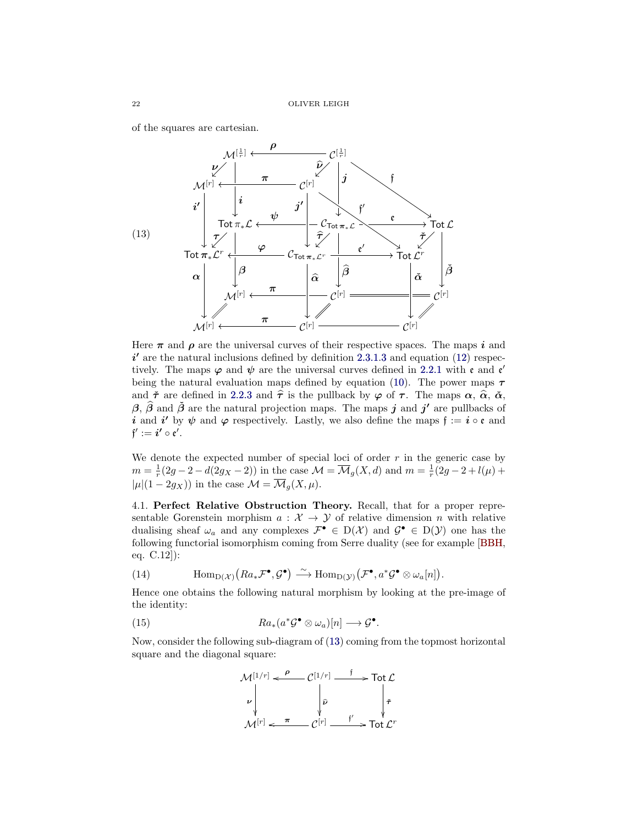of the squares are cartesian.

<span id="page-21-0"></span>

Here  $\pi$  and  $\rho$  are the universal curves of their respective spaces. The maps i and  $i'$  are the natural inclusions defined by definition [2.3.1](#page-13-0)[.3](#page-14-1) and equation [\(12\)](#page-14-2) respectively. The maps  $\varphi$  and  $\psi$  are the universal curves defined in [2.2.1](#page-12-0) with  $\mathfrak{e}$  and  $\mathfrak{e}'$ being the natural evaluation maps defined by equation [\(10\)](#page-12-1). The power maps  $\tau$ and  $\tilde{\tau}$  are defined in [2.2.3](#page-12-2) and  $\hat{\tau}$  is the pullback by  $\varphi$  of  $\tau$ . The maps  $\alpha$ ,  $\hat{\alpha}$ ,  $\check{\alpha}$ ,  $\beta$ ,  $\hat{\beta}$  and  $\check{\beta}$  are the natural projection maps. The maps j and j' are pullbacks of i and i' by  $\psi$  and  $\varphi$  respectively. Lastly, we also define the maps  $f := i \circ \mathfrak{e}$  and  $\mathfrak{f}':=i'\circ \mathfrak{e}'.$ 

We denote the expected number of special loci of order  $r$  in the generic case by  $m = \frac{1}{r}(2g - 2 - d(2g_X - 2))$  in the case  $\mathcal{M} = \overline{\mathcal{M}}_g(X, d)$  and  $m = \frac{1}{r}(2g - 2 + l(\mu) +$  $|\mu|(1-2g_X)$ ) in the case  $\mathcal{M} = \overline{\mathcal{M}}_g(X,\mu)$ .

4.1. Perfect Relative Obstruction Theory. Recall, that for a proper representable Gorenstein morphism  $a: \mathcal{X} \rightarrow \mathcal{Y}$  of relative dimension n with relative dualising sheaf  $\omega_a$  and any complexes  $\mathcal{F}^{\bullet} \in D(\mathcal{X})$  and  $\mathcal{G}^{\bullet} \in D(\mathcal{Y})$  one has the following functorial isomorphism coming from Serre duality (see for example [\[BBH,](#page-27-26) eq. C.12]):

(14) 
$$
\text{Hom}_{D(\mathcal{X})}(Ra_*\mathcal{F}^{\bullet}, \mathcal{G}^{\bullet}) \xrightarrow{\sim} \text{Hom}_{D(\mathcal{Y})}(\mathcal{F}^{\bullet}, a^*\mathcal{G}^{\bullet} \otimes \omega_a[n]).
$$

Hence one obtains the following natural morphism by looking at the pre-image of the identity:

<span id="page-21-1"></span>(15) 
$$
Ra_*(a^*\mathcal{G}^{\bullet} \otimes \omega_a)[n] \longrightarrow \mathcal{G}^{\bullet}.
$$

Now, consider the following sub-diagram of [\(13\)](#page-21-0) coming from the topmost horizontal square and the diagonal square:

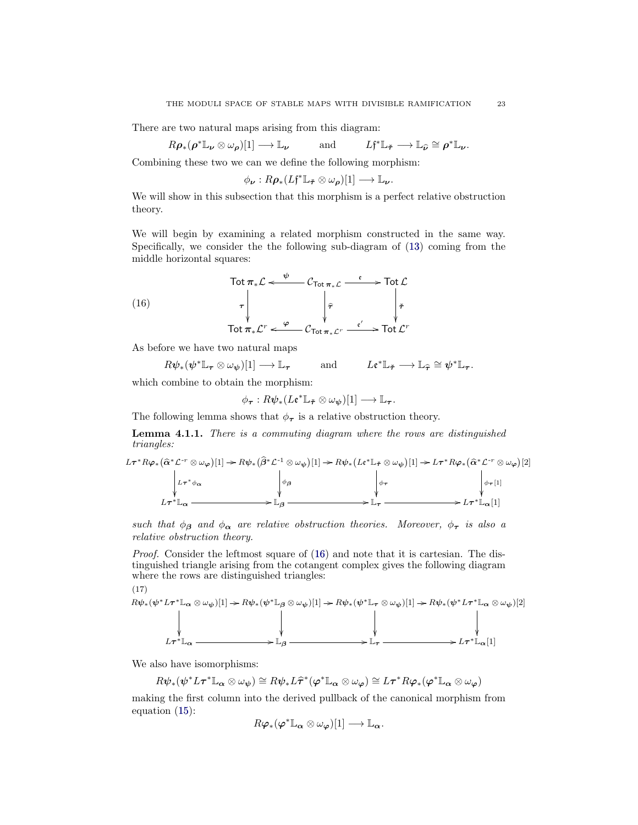There are two natural maps arising from this diagram:

$$
R\rho_*(\rho^* \mathbb{L}_{\nu} \otimes \omega_{\rho})[1] \longrightarrow \mathbb{L}_{\nu}
$$
 and  $Lf^* \mathbb{L}_{\tilde{\tau}} \longrightarrow \mathbb{L}_{\hat{\nu}} \cong \rho^* \mathbb{L}_{\nu}.$ 

Combining these two we can we define the following morphism:

$$
\phi_{\nu}: R\rho_*(L\mathfrak{f}^*\mathbb{L}_{\tilde{\tau}}\otimes\omega_{\rho})[1] \longrightarrow \mathbb{L}_{\nu}.
$$

We will show in this subsection that this morphism is a perfect relative obstruction theory.

We will begin by examining a related morphism constructed in the same way. Specifically, we consider the the following sub-diagram of [\(13\)](#page-21-0) coming from the middle horizontal squares:

<span id="page-22-0"></span>(16)  
\n
$$
\begin{array}{ccc}\n\text{Tot } \pi_* \mathcal{L} &\xleftarrow{\psi} & \mathcal{C}_{\text{Tot } \pi_* \mathcal{L}} & \xleftarrow{\mathfrak{e}} & \text{Tot } \mathcal{L} \\
\uparrow & & \downarrow & & \downarrow \tau \\
\text{Tot } \pi_* \mathcal{L}^r &\xleftarrow{\varphi} & \mathcal{C}_{\text{Tot } \pi_* \mathcal{L}^r} & \xleftarrow{\mathfrak{e}'} & \text{Tot } \mathcal{L}^r\n\end{array}
$$

As before we have two natural maps

$$
R\psi_*(\psi^*\mathbb{L}_{\tau}\otimes\omega_{\psi})[1] \longrightarrow \mathbb{L}_{\tau}
$$
 and  $L\mathfrak{e}^*\mathbb{L}_{\tilde{\tau}} \longrightarrow \mathbb{L}_{\widehat{\tau}}\cong \psi^*\mathbb{L}_{\tau}$ .

which combine to obtain the morphism:

$$
\phi_{\boldsymbol{\tau}}: R\psi_* (L\mathfrak{e}^*\mathbb{L}_{\tilde{\boldsymbol{\tau}}} \otimes \omega_{\boldsymbol{\psi}})[1] \longrightarrow \mathbb{L}_{\boldsymbol{\tau}}.
$$

The following lemma shows that  $\phi_{\tau}$  is a relative obstruction theory.

<span id="page-22-2"></span>Lemma 4.1.1. There is a commuting diagram where the rows are distinguished triangles:

$$
L\tau^* R \varphi_* (\hat{\alpha}^* \mathcal{L}^{-r} \otimes \omega_{\varphi})[1] \to R \psi_* (\hat{\beta}^* \mathcal{L}^{-1} \otimes \omega_{\psi})[1] \to R \psi_* (L\epsilon^* \mathbb{L}_{\tilde{\tau}} \otimes \omega_{\psi})[1] \to L\tau^* R \varphi_* (\hat{\alpha}^* \mathcal{L}^{-r} \otimes \omega_{\varphi})[2]
$$
  
\n
$$
L\tau^* \mathbb{L}_{\alpha}
$$
\n
$$
L\tau^* \mathbb{L}_{\alpha}
$$
\n
$$
\downarrow \varphi_{\beta}
$$
\n
$$
\downarrow \varphi_{\tau}
$$
\n
$$
\downarrow \varphi_{\tau}
$$
\n
$$
\downarrow \varphi_{\tau}
$$
\n
$$
\downarrow \varphi_{\tau}[1]
$$

such that  $\phi_{\beta}$  and  $\phi_{\alpha}$  are relative obstruction theories. Moreover,  $\phi_{\tau}$  is also a relative obstruction theory.

Proof. Consider the leftmost square of [\(16\)](#page-22-0) and note that it is cartesian. The distinguished triangle arising from the cotangent complex gives the following diagram where the rows are distinguished triangles:

<span id="page-22-1"></span>(17)

$$
R\psi_*(\psi^* L \tau^* \mathbb{L}_{\alpha} \otimes \omega_{\psi})[1] \to R\psi_*(\psi^* \mathbb{L}_{\beta} \otimes \omega_{\psi})[1] \to R\psi_*(\psi^* \mathbb{L}_{\tau} \otimes \omega_{\psi})[1] \to R\psi_*(\psi^* L \tau^* \mathbb{L}_{\alpha} \otimes \omega_{\psi})[2]
$$
\n
$$
\downarrow \qquad \qquad \downarrow \qquad \qquad \downarrow
$$
\n
$$
L \tau^* \mathbb{L}_{\alpha} \xrightarrow{\qquad \qquad \downarrow} \mathbb{L}_{\beta} \xrightarrow{\qquad \qquad \downarrow} \mathbb{L}_{\tau} \xrightarrow{\qquad \qquad \downarrow} \qquad L \tau^* \mathbb{L}_{\alpha}[1]
$$

We also have isomorphisms:

 $R\psi_*(\psi^*L\tau^*\mathbb{L}_\alpha\otimes\omega_\psi)\cong R\psi_*L\widehat{\tau}^*(\varphi^*\mathbb{L}_\alpha\otimes\omega_\varphi)\cong L\tau^*R\varphi_*(\varphi^*\mathbb{L}_\alpha\otimes\omega_\varphi)$ 

making the first column into the derived pullback of the canonical morphism from equation [\(15\)](#page-21-1):

$$
R\boldsymbol{\varphi}_*(\boldsymbol{\varphi}^*\mathbb{L}_{\boldsymbol{\alpha}}\otimes\omega_{\boldsymbol{\varphi}})[1]\longrightarrow\mathbb{L}_{\boldsymbol{\alpha}}.
$$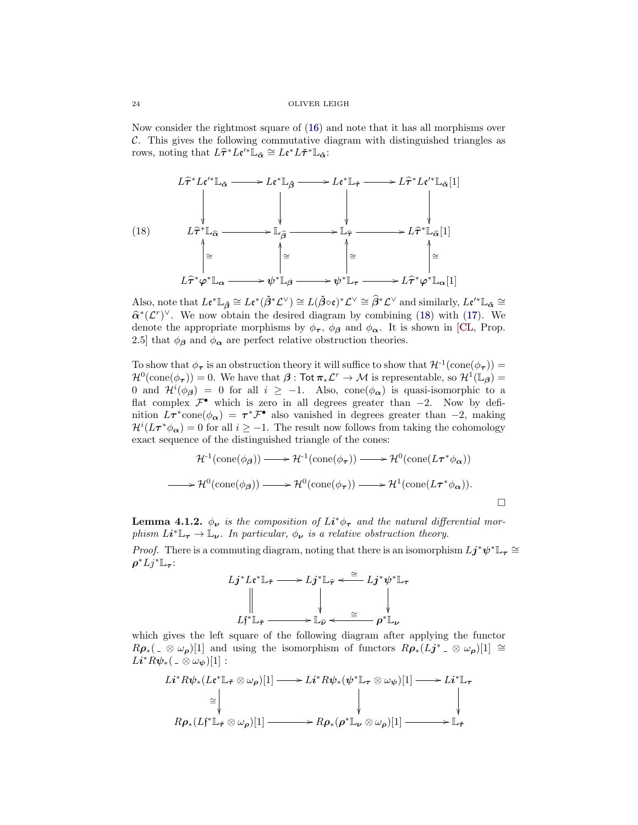Now consider the rightmost square of [\(16\)](#page-22-0) and note that it has all morphisms over C. This gives the following commutative diagram with distinguished triangles as rows, noting that  $L\hat{\tau}^*L\epsilon'^*L_{\check{\alpha}} \cong L\epsilon^*L\check{\tau}^*L_{\check{\alpha}}$ :

<span id="page-23-0"></span>
$$
L\hat{\tau}^* L \mathfrak{e}^{\prime *} \mathbb{L}_{\tilde{\alpha}} \longrightarrow L \mathfrak{e}^* \mathbb{L}_{\tilde{\beta}} \longrightarrow L \mathfrak{e}^* \mathbb{L}_{\tilde{\tau}} \longrightarrow L\hat{\tau}^* L \mathfrak{e}^{\prime *} \mathbb{L}_{\tilde{\alpha}}[1]
$$
\n
$$
\downarrow \qquad \qquad \downarrow \qquad \qquad \downarrow \qquad \qquad \downarrow \qquad \qquad \downarrow \qquad \qquad \downarrow \qquad \qquad \downarrow \qquad \qquad \downarrow \qquad \qquad \downarrow \qquad \qquad \downarrow \qquad \qquad \downarrow \qquad \qquad \downarrow \qquad \qquad \downarrow \qquad \qquad \downarrow \qquad \qquad \downarrow \qquad \qquad \downarrow \qquad \qquad \downarrow \qquad \qquad \downarrow \qquad \qquad \downarrow \qquad \qquad \downarrow \qquad \qquad \downarrow \qquad \qquad \downarrow \qquad \qquad \downarrow \qquad \qquad \downarrow \qquad \qquad \downarrow \qquad \qquad \downarrow \qquad \qquad \downarrow \qquad \qquad \downarrow \qquad \qquad \downarrow \qquad \qquad \downarrow \qquad \qquad \downarrow \qquad \qquad \downarrow \qquad \qquad \downarrow \qquad \qquad \downarrow \qquad \qquad \downarrow \qquad \qquad \downarrow \qquad \qquad \downarrow \qquad \qquad \downarrow \qquad \qquad \downarrow \qquad \qquad \downarrow \qquad \qquad \downarrow \qquad \qquad \downarrow \qquad \qquad \downarrow \qquad \qquad \downarrow \qquad \qquad \downarrow \qquad \qquad \downarrow \qquad \qquad \downarrow \qquad \qquad \downarrow \qquad \qquad \downarrow \qquad \qquad \downarrow \qquad \qquad \downarrow \qquad \qquad \downarrow \qquad \qquad \downarrow \qquad \qquad \downarrow \qquad \qquad \downarrow \qquad \qquad \downarrow \qquad \qquad \downarrow \qquad \qquad \downarrow \qquad \qquad \downarrow \qquad \qquad \downarrow \qquad \qquad \downarrow \qquad \qquad \downarrow \qquad \qquad \downarrow \qquad \qquad \downarrow \qquad \qquad \downarrow \qquad \qquad \downarrow \qquad \qquad \downarrow \qquad \qquad \downarrow \qquad \qquad \downarrow \qquad \qquad \downarrow \qquad \qquad \downarrow \
$$

Also, note that  $L \mathfrak{e}^* \mathbb{L}_{\tilde{\beta}} \cong L \mathfrak{e}^* (\tilde{\beta}^* \mathcal{L}^\vee) \cong L (\tilde{\beta} \circ \mathfrak{e})^* \mathcal{L}^\vee \cong \widehat{\beta}^* \mathcal{L}^\vee$  and similarly,  $L \mathfrak{e}'^* \mathbb{L}_{\tilde{\alpha}} \cong \widehat{\alpha}^* \mathcal{L}^\vee$  $\hat{\alpha}^*(\mathcal{L}^r)^{\vee}$ . We now obtain the desired diagram by combining [\(18\)](#page-23-0) with [\(17\)](#page-22-1). We denote the appropriate magnitude with  $\phi$ , and  $\phi$ . It is above in [CI, Prop. denote the appropriate morphisms by  $\phi_{\tau}$ ,  $\phi_{\beta}$  and  $\phi_{\alpha}$ . It is shown in [\[CL,](#page-27-22) Prop. 2.5] that  $\phi_{\beta}$  and  $\phi_{\alpha}$  are perfect relative obstruction theories.

To show that  $\phi_{\tau}$  is an obstruction theory it will suffice to show that  $\mathcal{H}^{-1}(\text{cone}(\phi_{\tau})) =$  $\mathcal{H}^0(\text{cone}(\phi_{\boldsymbol{\tau}}))=0.$  We have that  $\boldsymbol{\beta}:\mathsf{Tot}\pi_*\mathcal{L}^r\to\mathcal{M}$  is representable, so  $\mathcal{H}^1(\mathbb{L}_{\boldsymbol{\beta}})=0$ 0 and  $\mathcal{H}^i(\phi_{\beta}) = 0$  for all  $i \geq -1$ . Also, cone  $(\phi_{\alpha})$  is quasi-isomorphic to a flat complex  $\mathcal{F}^{\bullet}$  which is zero in all degrees greater than  $-2$ . Now by definition  $L\tau^*$ cone $(\phi_{\alpha}) = \tau^* \mathcal{F}^{\bullet}$  also vanished in degrees greater than -2, making  $\mathcal{H}^i(L\tau^*\phi_{\boldsymbol{\alpha}})=0$  for all  $i\geq -1$ . The result now follows from taking the cohomology exact sequence of the distinguished triangle of the cones:

$$
\mathcal{H}^1(\text{cone}(\phi_{\beta})) \longrightarrow \mathcal{H}^1(\text{cone}(\phi_{\tau})) \longrightarrow \mathcal{H}^0(\text{cone}(L\tau^*\phi_{\alpha}))
$$
  

$$
\longrightarrow \mathcal{H}^0(\text{cone}(\phi_{\beta})) \longrightarrow \mathcal{H}^0(\text{cone}(\phi_{\tau})) \longrightarrow \mathcal{H}^1(\text{cone}(L\tau^*\phi_{\alpha})).
$$

**Lemma 4.1.2.**  $\phi_{\nu}$  is the composition of  $Li^*\phi_{\tau}$  and the natural differential morphism  $Li^* \mathbb{L}_{\tau} \to \mathbb{L}_{\nu}$ . In particular,  $\phi_{\nu}$  is a relative obstruction theory.

*Proof.* There is a commuting diagram, noting that there is an isomorphism  $Lj^*\psi^* \mathbb{L}_{\tau} \cong$  $\rho^* L j^* \mathbb{L}_\tau$ :

$$
Lj^*L\epsilon^* \mathbb{L}_{\tilde{\tau}} \longrightarrow Lj^* \mathbb{L}_{\hat{\tau}} \overset{\cong}{\longrightarrow} Lj^* \psi^* \mathbb{L}_{\tau}
$$
  

$$
\downarrow \qquad \qquad \downarrow \qquad \qquad \downarrow
$$
  

$$
Lj^* \mathbb{L}_{\tilde{\tau}} \longrightarrow \mathbb{L}_{\hat{\nu}} \overset{\cong}{\longleftarrow} \rho^* \mathbb{L}_{\nu}
$$

which gives the left square of the following diagram after applying the functor  $R\rho_*(\overline{\Omega} \otimes \omega_\rho)[1]$  and using the isomorphism of functors  $R\rho_*(\overline{L}j^* \otimes \omega_\rho)[1] \cong$  $Li^*R\psi_*({}_{-}\otimes \omega_\psi)[1]$  :

$$
Li^*R\psi_*(Le^*\mathbb{L}_{\tilde{\tau}}\otimes\omega_{\rho})[1] \longrightarrow Li^*R\psi_*(\psi^*\mathbb{L}_{\tau}\otimes\omega_{\psi})[1] \longrightarrow Li^*\mathbb{L}_{\tau}
$$
  
\n
$$
\cong \qquad \qquad \downarrow \qquad \qquad \downarrow
$$
  
\n
$$
R\rho_*(Lf^*\mathbb{L}_{\tilde{\tau}}\otimes\omega_{\rho})[1] \longrightarrow R\rho_*(\rho^*\mathbb{L}_{\nu}\otimes\omega_{\rho})[1] \longrightarrow \mathbb{L}_{\tilde{\tau}}
$$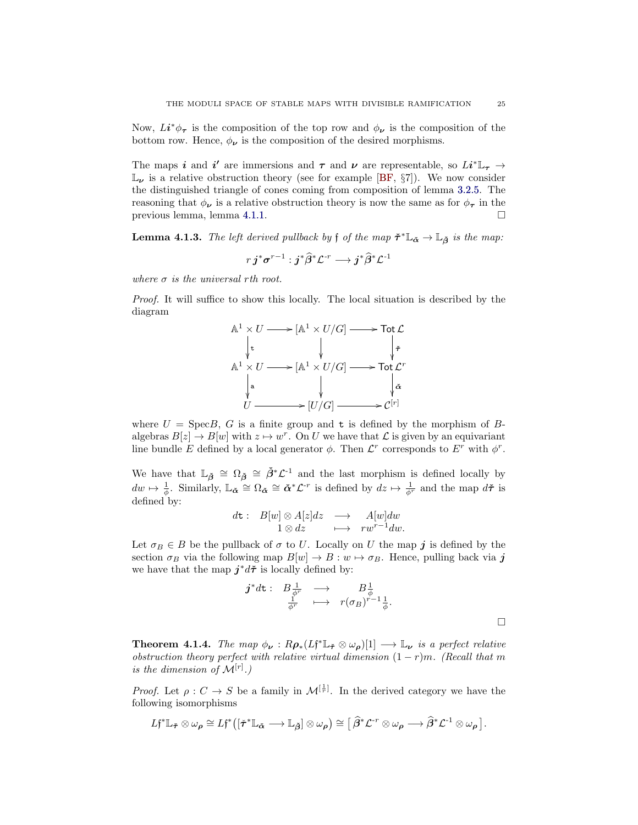Now,  $Li^*\phi_{\tau}$  is the composition of the top row and  $\phi_{\nu}$  is the composition of the bottom row. Hence,  $\phi_{\nu}$  is the composition of the desired morphisms.

The maps i and i' are immersions and  $\tau$  and  $\nu$  are representable, so  $Li^* \mathbb{L}_{\tau} \rightarrow$  $\mathbb{L}_{\nu}$  is a relative obstruction theory (see for example [\[BF,](#page-27-24) §7]). We now consider the distinguished triangle of cones coming from composition of lemma [3.2.5.](#page-18-0) The reasoning that  $\phi_{\nu}$  is a relative obstruction theory is now the same as for  $\phi_{\tau}$  in the previous lemma, lemma [4.1.1.](#page-22-2)

<span id="page-24-0"></span>**Lemma 4.1.3.** The left derived pullback by f of the map  $\check{\tau}^* \mathbb{L}_{\check{\alpha}} \to \mathbb{L}_{\check{\beta}}$  is the map:

$$
r\, \boldsymbol{j}^* \boldsymbol{\sigma}^{r-1} : \boldsymbol{j}^* \widehat{\beta}^* \mathcal{L}^{‐r} \longrightarrow \boldsymbol{j}^* \widehat{\beta}^* \mathcal{L}^{‐1}
$$

where  $\sigma$  is the universal rth root.

Proof. It will suffice to show this locally. The local situation is described by the diagram



where  $U = \text{Spec}B$ , G is a finite group and t is defined by the morphism of Balgebras  $B[z] \to B[w]$  with  $z \mapsto w^r$ . On U we have that  $\mathcal L$  is given by an equivariant line bundle E defined by a local generator  $\phi$ . Then  $\mathcal{L}^r$  corresponds to  $E^r$  with  $\phi^r$ .

We have that  $\mathbb{L}_{\tilde{\beta}} \cong \Omega_{\tilde{\beta}} \cong \tilde{\beta}^* \mathcal{L}^{-1}$  and the last morphism is defined locally by  $dw \mapsto \frac{1}{\phi}$ . Similarly,  $\mathbb{L}_{\tilde{\boldsymbol{\alpha}}} \cong \Omega_{\tilde{\boldsymbol{\alpha}}} \cong \tilde{\boldsymbol{\alpha}}^*\mathcal{L}^{-r}$  is defined by  $dz \mapsto \frac{1}{\phi^r}$  and the map  $d\tilde{\boldsymbol{\tau}}$  is defined by:

$$
d\mathbf{t}: \quad B[w] \otimes A[z]dz \quad \longrightarrow \quad A[w]dw
$$

$$
1 \otimes dz \quad \longmapsto \quad rw^{r-1}dw.
$$

Let  $\sigma_B \in B$  be the pullback of  $\sigma$  to U. Locally on U the map j is defined by the section  $\sigma_B$  via the following map  $B[w] \to B : w \mapsto \sigma_B$ . Hence, pulling back via j we have that the map  $j^*d\tilde{\tau}$  is locally defined by:

$$
\begin{array}{cccc}\boldsymbol{j}^*\textit{d}\boldsymbol{\mathrm{t}}:&B\frac{1}{\phi^r}&\longrightarrow&B\frac{1}{\phi}\\&\frac{1}{\phi^r}&\longmapsto&r(\sigma_B)^{r-1}\frac{1}{\phi}.\end{array}
$$

**Theorem 4.1.4.** The map  $\phi_{\nu} : R\rho_*(Lf^*\mathbb{L}_{\tilde{\tau}} \otimes \omega_{\rho})[1] \longrightarrow \mathbb{L}_{\nu}$  is a perfect relative obstruction theory perfect with relative virtual dimension  $(1 - r)m$ . (Recall that m is the dimension of  $\mathcal{M}^{[r]}$ .)

*Proof.* Let  $\rho: C \to S$  be a family in  $\mathcal{M}^{[\frac{1}{r}]}$ . In the derived category we have the following isomorphisms

$$
L\mathfrak{f}^*\mathbb{L}_{\tilde{\mathbf{\tau}}}\otimes \omega_{\rho}\cong L\mathfrak{f}^*\big([\tilde{\mathbf{\tau}}^*\mathbb{L}_{\tilde{\mathbf{\alpha}}}\longrightarrow \mathbb{L}_{\tilde{\boldsymbol{\beta}}}] \otimes \omega_{\rho}\big)\cong [\widehat{\boldsymbol{\beta}}^*\mathcal{L}^{\text{-}r}\otimes \omega_{\rho}\longrightarrow \widehat{\boldsymbol{\beta}}^*\mathcal{L}^{\text{-}1}\otimes \omega_{\rho}].
$$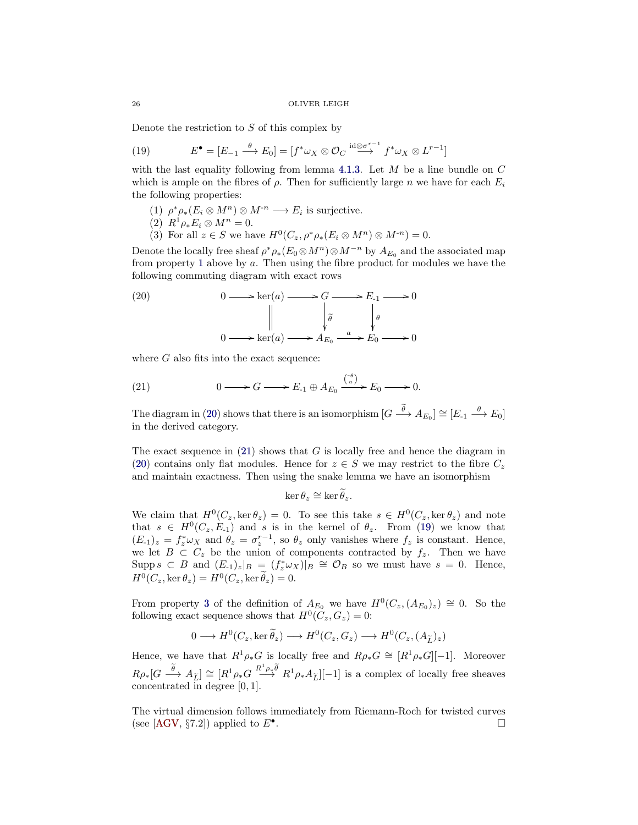Denote the restriction to  $S$  of this complex by

<span id="page-25-3"></span>(19) 
$$
E^{\bullet} = [E_{-1} \xrightarrow{\theta} E_0] = [f^* \omega_X \otimes \mathcal{O}_C \xrightarrow{id \otimes \sigma^{r-1}} f^* \omega_X \otimes L^{r-1}]
$$

with the last equality following from lemma [4.1.3.](#page-24-0) Let  $M$  be a line bundle on  $C$ which is ample on the fibres of  $\rho$ . Then for sufficiently large n we have for each  $E_i$ the following properties:

- <span id="page-25-0"></span>(1)  $\rho^* \rho_* (E_i \otimes M^n) \otimes M^{-n} \longrightarrow E_i$  is surjective.
- (2)  $R^1 \rho_* E_i \otimes M^n = 0.$
- (3) For all  $z \in S$  we have  $H^0(C_z, \rho^* \rho_* (E_i \otimes M^n) \otimes M^{-n}) = 0$ .

<span id="page-25-4"></span>Denote the locally free sheaf  $\rho^* \rho_*(E_0 \otimes M^n) \otimes M^{-n}$  by  $A_{E_0}$  and the associated map from property [1](#page-25-0) above by a. Then using the fibre product for modules we have the following commuting diagram with exact rows

<span id="page-25-1"></span>(20) 
$$
0 \longrightarrow \ker(a) \longrightarrow G \longrightarrow E_{-1} \longrightarrow 0
$$

$$
\parallel \qquad \qquad \downarrow \tilde{\theta} \qquad \qquad \downarrow \theta
$$

$$
0 \longrightarrow \ker(a) \longrightarrow A_{E_0} \xrightarrow{a} E_0 \longrightarrow 0
$$

where  $G$  also fits into the exact sequence:

<span id="page-25-2"></span>(21) 
$$
0 \longrightarrow G \longrightarrow E_{-1} \oplus A_{E_0} \xrightarrow{\binom{-\theta}{a}} E_0 \longrightarrow 0.
$$

The diagram in [\(20\)](#page-25-1) shows that there is an isomorphism  $[G \stackrel{\theta}{\longrightarrow} A_{E_0}] \cong [E_{-1} \stackrel{\theta}{\longrightarrow} E_0]$ in the derived category.

The exact sequence in  $(21)$  shows that G is locally free and hence the diagram in [\(20\)](#page-25-1) contains only flat modules. Hence for  $z \in S$  we may restrict to the fibre  $C_z$ and maintain exactness. Then using the snake lemma we have an isomorphism

$$
\ker \theta_z \cong \ker \widetilde{\theta}_z.
$$

We claim that  $H^0(C_z, \ker \theta_z) = 0$ . To see this take  $s \in H^0(C_z, \ker \theta_z)$  and note that  $s \in H^0(C_z, E_{-1})$  and s is in the kernel of  $\theta_z$ . From [\(19\)](#page-25-3) we know that  $(E_1)_z = f_z^* \omega_X$  and  $\theta_z = \sigma_z^{r-1}$ , so  $\theta_z$  only vanishes where  $f_z$  is constant. Hence, we let  $B \subset C_z$  be the union of components contracted by  $f_z$ . Then we have Supp  $s \subset B$  and  $(E_{-1})_z|_B = (f_z^* \omega_X)|_B \cong \mathcal{O}_B$  so we must have  $s = 0$ . Hence,  $H^0(C_z,\ker \theta_z) = H^0(C_z,\ker \tilde{\theta}_z) = 0.$ 

From property [3](#page-25-4) of the definition of  $A_{E_0}$  we have  $H^0(C_z, (A_{E_0})_z) \cong 0$ . So the following exact sequence shows that  $H^0(C_z, G_z) = 0$ :

$$
0 \longrightarrow H^0(C_z, \ker \widetilde{\theta}_z) \longrightarrow H^0(C_z, G_z) \longrightarrow H^0(C_z, (A_{\widetilde{L}})_z)
$$

Hence, we have that  $R^1 \rho_* G$  is locally free and  $R \rho_* G \cong [R^1 \rho_* G][-1]$ . Moreover  $R\rho_*[G \stackrel{\widetilde{\theta}}{\longrightarrow} A_{\widetilde{L}}] \cong [R^1\rho_*G \stackrel{R^1\rho_*\widetilde{\theta}}{\longrightarrow} R^1\rho_*A_{\widetilde{L}}][-1]$  is a complex of locally free sheaves concentrated in degree [0, 1].

The virtual dimension follows immediately from Riemann-Roch for twisted curves (see [\[AGV,](#page-27-14) §7.2]) applied to  $E^{\bullet}$ . . В последните последните последните последните последните последните последните последните последните последн<br>В последните последните последните последните последните последните последните последните последните последнит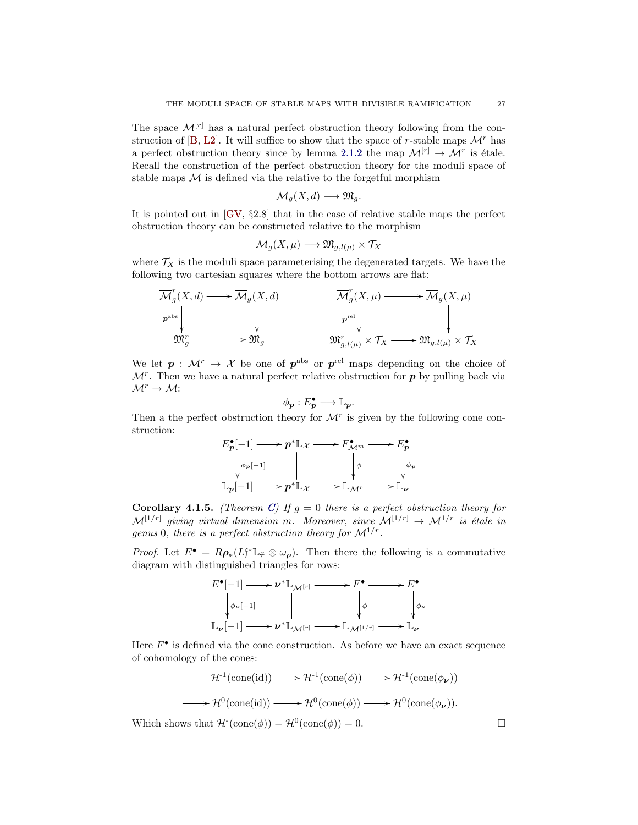The space  $\mathcal{M}^{[r]}$  has a natural perfect obstruction theory following from the con-struction of [\[B,](#page-27-27) [L2\]](#page-27-10). It will suffice to show that the space of r-stable maps  $\mathcal{M}^r$  has a perfect obstruction theory since by lemma [2.1.2](#page-11-3) the map  $\mathcal{M}^{[r]} \to \mathcal{M}^r$  is étale. Recall the construction of the perfect obstruction theory for the moduli space of stable maps  $M$  is defined via the relative to the forgetful morphism

$$
\overline{\mathcal{M}}_g(X,d) \longrightarrow \mathfrak{M}_g.
$$

It is pointed out in [\[GV,](#page-27-3) §2.8] that in the case of relative stable maps the perfect obstruction theory can be constructed relative to the morphism

$$
\overline{\mathcal{M}}_g(X,\mu)\longrightarrow \mathfrak{M}_{g,l(\mu)}\times \mathcal{T}_X
$$

where  $\mathcal{T}_X$  is the moduli space parameterising the degenerated targets. We have the following two cartesian squares where the bottom arrows are flat:

$$
\begin{array}{ccc}\n\overline{\mathcal{M}}_g^r(X,d) \longrightarrow \overline{\mathcal{M}}_g(X,d) & \overline{\mathcal{M}}_g^r(X,\mu) \longrightarrow \overline{\mathcal{M}}_g(X,\mu) \\
\downarrow & & \downarrow & & \downarrow \\
\left.\begin{matrix} \mathfrak{p}^{\text{abs}} & & \mathfrak{p}^{\text{rel}} \\ \mathfrak{M}_g^r \longrightarrow & \mathfrak{M}_g \end{matrix}\right| & \mathfrak{M}_g^r(X,\mu) \longrightarrow \overline{\mathcal{M}}_g(X,\mu) \\
\downarrow & & \downarrow & & \downarrow \\
\mathfrak{M}_g^r \longrightarrow & \mathfrak{M}_{g,l(\mu)} \times \mathcal{T}_X \longrightarrow \mathfrak{M}_{g,l(\mu)} \times \mathcal{T}_X\n\end{array}
$$

We let  $p: \mathcal{M}^r \to \mathcal{X}$  be one of  $p^{\text{abs}}$  or  $p^{\text{rel}}$  maps depending on the choice of  $\mathcal{M}^r$ . Then we have a natural perfect relative obstruction for p by pulling back via  $\mathcal{M}^r \to \mathcal{M}$ :

$$
\phi_{p}: E_{p}^{\bullet} \longrightarrow \mathbb{L}_{p}.
$$

Then a the perfect obstruction theory for  $\mathcal{M}^r$  is given by the following cone construction:



**Corollary 4.1.5.** (Theorem [C\)](#page-3-0) If  $g = 0$  there is a perfect obstruction theory for  $\mathcal{M}^{[1/r]}$  giving virtual dimension m. Moreover, since  $\mathcal{M}^{[1/r]} \to \mathcal{M}^{1/r}$  is étale in genus 0, there is a perfect obstruction theory for  $\mathcal{M}^{1/r}$ .

*Proof.* Let  $E^{\bullet} = R\rho_*(Lf^*\mathbb{L}_{\tilde{\tau}} \otimes \omega_{\rho})$ . Then there the following is a commutative diagram with distinguished triangles for rows:



Here  $F^{\bullet}$  is defined via the cone construction. As before we have an exact sequence of cohomology of the cones:

$$
\mathcal{H}^1(\text{cone}(\text{id})) \longrightarrow \mathcal{H}^1(\text{cone}(\phi)) \longrightarrow \mathcal{H}^1(\text{cone}(\phi_{\nu}))
$$

$$
\longrightarrow \mathcal{H}^0(\text{cone}(\text{id})) \longrightarrow \mathcal{H}^0(\text{cone}(\phi)) \longrightarrow \mathcal{H}^0(\text{cone}(\phi_{\nu})).
$$

Which shows that  $\mathcal{H}^{\cdot}(\text{cone}(\phi)) = \mathcal{H}^{0}(\text{cone}(\phi)) = 0.$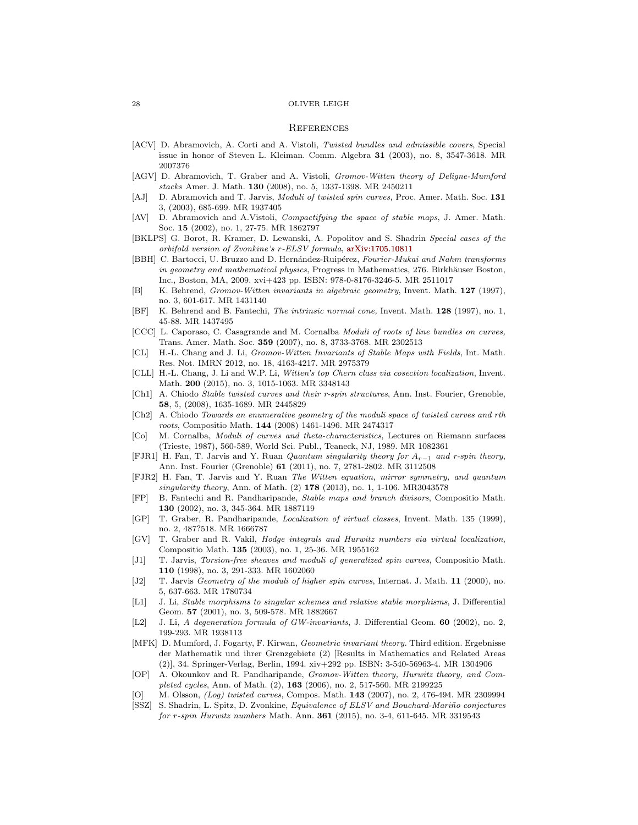#### **REFERENCES**

- <span id="page-27-12"></span>[ACV] D. Abramovich, A. Corti and A. Vistoli, Twisted bundles and admissible covers, Special issue in honor of Steven L. Kleiman. Comm. Algebra 31 (2003), no. 8, 3547-3618. MR 2007376
- <span id="page-27-14"></span>[AGV] D. Abramovich, T. Graber and A. Vistoli, Gromov-Witten theory of Deligne-Mumford stacks Amer. J. Math. 130 (2008), no. 5, 1337-1398. MR 2450211
- <span id="page-27-1"></span>[AJ] D. Abramovich and T. Jarvis, *Moduli of twisted spin curves*, Proc. Amer. Math. Soc. 131 3, (2003), 685-699. MR 1937405
- <span id="page-27-11"></span>[AV] D. Abramovich and A.Vistoli, Compactifying the space of stable maps, J. Amer. Math. Soc. 15 (2002), no. 1, 27-75. MR 1862797
- <span id="page-27-7"></span>[BKLPS] G. Borot, R. Kramer, D. Lewanski, A. Popolitov and S. Shadrin Special cases of the orbifold version of Zvonkine's r-ELSV formula, [arXiv:1705.10811](https://arxiv.org/abs/1705.10811)
- <span id="page-27-26"></span>[BBH] C. Bartocci, U. Bruzzo and D. Hernández-Ruipérez, Fourier-Mukai and Nahm transforms in geometry and mathematical physics, Progress in Mathematics, 276. Birkhäuser Boston, Inc., Boston, MA, 2009. xvi+423 pp. ISBN: 978-0-8176-3246-5. MR 2511017
- <span id="page-27-27"></span>[B] K. Behrend, Gromov-Witten invariants in algebraic geometry, Invent. Math. 127 (1997), no. 3, 601-617. MR 1431140
- <span id="page-27-24"></span>[BF] K. Behrend and B. Fantechi, The intrinsic normal cone, Invent. Math. 128 (1997), no. 1, 45-88. MR 1437495
- <span id="page-27-21"></span>[CCC] L. Caporaso, C. Casagrande and M. Cornalba Moduli of roots of line bundles on curves, Trans. Amer. Math. Soc. 359 (2007), no. 8, 3733-3768. MR 2302513
- <span id="page-27-22"></span>[CL] H.-L. Chang and J. Li, Gromov-Witten Invariants of Stable Maps with Fields, Int. Math. Res. Not. IMRN 2012, no. 18, 4163-4217. MR 2975379
- <span id="page-27-23"></span>[CLL] H.-L. Chang, J. Li and W.P. Li, Witten's top Chern class via cosection localization, Invent. Math. 200 (2015), no. 3, 1015-1063. MR 3348143
- <span id="page-27-2"></span>[Ch1] A. Chiodo Stable twisted curves and their r-spin structures, Ann. Inst. Fourier, Grenoble, 58, 5, (2008), 1635-1689. MR 2445829
- <span id="page-27-17"></span>[Ch2] A. Chiodo Towards an enumerative geometry of the moduli space of twisted curves and rth roots, Compositio Math. 144 (2008) 1461-1496. MR 2474317
- <span id="page-27-18"></span>[Co] M. Cornalba, Moduli of curves and theta-characteristics, Lectures on Riemann surfaces (Trieste, 1987), 560-589, World Sci. Publ., Teaneck, NJ, 1989. MR 1082361
- <span id="page-27-15"></span>[FJR1] H. Fan, T. Jarvis and Y. Ruan *Quantum singularity theory for*  $A_{r-1}$  and r-spin theory, Ann. Inst. Fourier (Grenoble) 61 (2011), no. 7, 2781-2802. MR 3112508
- <span id="page-27-16"></span>[FJR2] H. Fan, T. Jarvis and Y. Ruan The Witten equation, mirror symmetry, and quantum singularity theory, Ann. of Math. (2) 178 (2013), no. 1, 1-106. MR3043578
- <span id="page-27-4"></span>[FP] B. Fantechi and R. Pandharipande, Stable maps and branch divisors, Compositio Math. 130 (2002), no. 3, 345-364. MR 1887119
- <span id="page-27-5"></span>[GP] T. Graber, R. Pandharipande, Localization of virtual classes, Invent. Math. 135 (1999), no. 2, 487?518. MR 1666787
- <span id="page-27-3"></span>[GV] T. Graber and R. Vakil, Hodge integrals and Hurwitz numbers via virtual localization, Compositio Math. 135 (2003), no. 1, 25-36. MR 1955162
- <span id="page-27-19"></span>[J1] T. Jarvis, Torsion-free sheaves and moduli of generalized spin curves, Compositio Math. 110 (1998), no. 3, 291-333. MR 1602060
- <span id="page-27-20"></span>[J2] T. Jarvis Geometry of the moduli of higher spin curves, Internat. J. Math. 11 (2000), no. 5, 637-663. MR 1780734
- <span id="page-27-9"></span>[L1] J. Li, Stable morphisms to singular schemes and relative stable morphisms, J. Differential Geom. 57 (2001), no. 3, 509-578. MR 1882667
- <span id="page-27-10"></span>[L2] J. Li, A degeneration formula of GW-invariants, J. Differential Geom. **60** (2002), no. 2, 199-293. MR 1938113
- <span id="page-27-25"></span>[MFK] D. Mumford, J. Fogarty, F. Kirwan, *Geometric invariant theory*. Third edition. Ergebnisse der Mathematik und ihrer Grenzgebiete (2) [Results in Mathematics and Related Areas (2)], 34. Springer-Verlag, Berlin, 1994. xiv+292 pp. ISBN: 3-540-56963-4. MR 1304906
- <span id="page-27-8"></span>[OP] A. Okounkov and R. Pandharipande, Gromov-Witten theory, Hurwitz theory, and Completed cycles, Ann. of Math. (2), 163 (2006), no. 2, 517-560. MR 2199225
- <span id="page-27-13"></span>[O] M. Olsson, *(Log) twisted curves*, Compos. Math. **143** (2007), no. 2, 476-494. MR 2309994
- <span id="page-27-6"></span><span id="page-27-0"></span>[SSZ] S. Shadrin, L. Spitz, D. Zvonkine, Equivalence of ELSV and Bouchard-Mariño conjectures for r-spin Hurwitz numbers Math. Ann. 361 (2015), no. 3-4, 611-645. MR 3319543